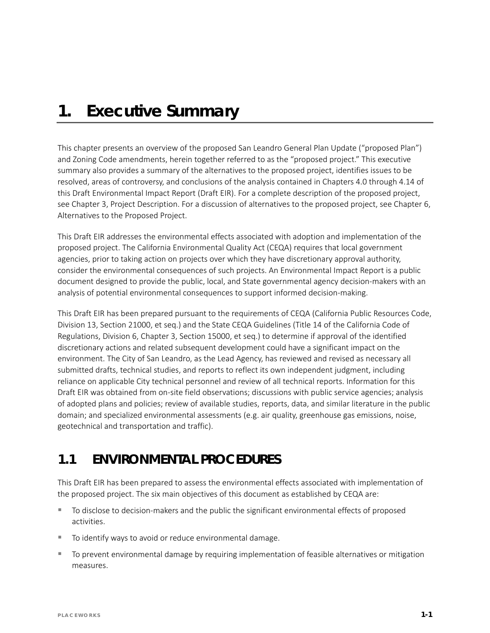# *1. Executive Summary*

This chapter presents an overview of the proposed San Leandro General Plan Update ("proposed Plan") and Zoning Code amendments, herein together referred to as the "proposed project." This executive summary also provides a summary of the alternatives to the proposed project, identifies issues to be resolved, areas of controversy, and conclusions of the analysis contained in Chapters 4.0 through 4.14 of this Draft Environmental Impact Report (Draft EIR). For a complete description of the proposed project, see Chapter 3, Project Description. For a discussion of alternatives to the proposed project, see Chapter 6, Alternatives to the Proposed Project.

This Draft EIR addresses the environmental effects associated with adoption and implementation of the proposed project. The California Environmental Quality Act (CEQA) requires that local government agencies, prior to taking action on projects over which they have discretionary approval authority, consider the environmental consequences of such projects. An Environmental Impact Report is a public document designed to provide the public, local, and State governmental agency decision-makers with an analysis of potential environmental consequences to support informed decision-making.

This Draft EIR has been prepared pursuant to the requirements of CEQA (California Public Resources Code, Division 13, Section 21000, et seq.) and the State CEQA Guidelines (Title 14 of the California Code of Regulations, Division 6, Chapter 3, Section 15000, et seq.) to determine if approval of the identified discretionary actions and related subsequent development could have a significant impact on the environment. The City of San Leandro, as the Lead Agency, has reviewed and revised as necessary all submitted drafts, technical studies, and reports to reflect its own independent judgment, including reliance on applicable City technical personnel and review of all technical reports. Information for this Draft EIR was obtained from on-site field observations; discussions with public service agencies; analysis of adopted plans and policies; review of available studies, reports, data, and similar literature in the public domain; and specialized environmental assessments (e.g. air quality, greenhouse gas emissions, noise, geotechnical and transportation and traffic).

## **1.1 ENVIRONMENTAL PROCEDURES**

This Draft EIR has been prepared to assess the environmental effects associated with implementation of the proposed project. The six main objectives of this document as established by CEQA are:

- To disclose to decision-makers and the public the significant environmental effects of proposed activities.
- To identify ways to avoid or reduce environmental damage.
- To prevent environmental damage by requiring implementation of feasible alternatives or mitigation measures.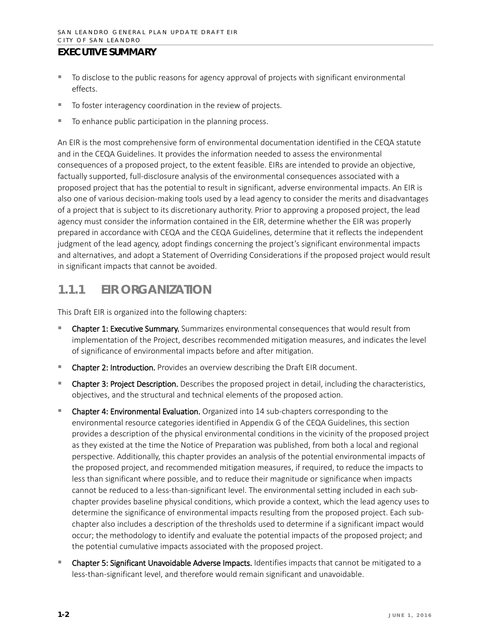- To disclose to the public reasons for agency approval of projects with significant environmental effects.
- To foster interagency coordination in the review of projects.
- To enhance public participation in the planning process.

An EIR is the most comprehensive form of environmental documentation identified in the CEQA statute and in the CEQA Guidelines. It provides the information needed to assess the environmental consequences of a proposed project, to the extent feasible. EIRs are intended to provide an objective, factually supported, full-disclosure analysis of the environmental consequences associated with a proposed project that has the potential to result in significant, adverse environmental impacts. An EIR is also one of various decision-making tools used by a lead agency to consider the merits and disadvantages of a project that is subject to its discretionary authority. Prior to approving a proposed project, the lead agency must consider the information contained in the EIR, determine whether the EIR was properly prepared in accordance with CEQA and the CEQA Guidelines, determine that it reflects the independent judgment of the lead agency, adopt findings concerning the project's significant environmental impacts and alternatives, and adopt a Statement of Overriding Considerations if the proposed project would result in significant impacts that cannot be avoided.

## **1.1.1 EIR ORGANIZATION**

This Draft EIR is organized into the following chapters:

- Chapter 1: Executive Summary. Summarizes environmental consequences that would result from implementation of the Project, describes recommended mitigation measures, and indicates the level of significance of environmental impacts before and after mitigation.
- Chapter 2: Introduction. Provides an overview describing the Draft EIR document.
- Chapter 3: Project Description. Describes the proposed project in detail, including the characteristics, objectives, and the structural and technical elements of the proposed action.
- Chapter 4: Environmental Evaluation. Organized into 14 sub-chapters corresponding to the environmental resource categories identified in Appendix G of the CEQA Guidelines, this section provides a description of the physical environmental conditions in the vicinity of the proposed project as they existed at the time the Notice of Preparation was published, from both a local and regional perspective. Additionally, this chapter provides an analysis of the potential environmental impacts of the proposed project, and recommended mitigation measures, if required, to reduce the impacts to less than significant where possible, and to reduce their magnitude or significance when impacts cannot be reduced to a less-than-significant level. The environmental setting included in each subchapter provides baseline physical conditions, which provide a context, which the lead agency uses to determine the significance of environmental impacts resulting from the proposed project. Each subchapter also includes a description of the thresholds used to determine if a significant impact would occur; the methodology to identify and evaluate the potential impacts of the proposed project; and the potential cumulative impacts associated with the proposed project.
- **Chapter 5: Significant Unavoidable Adverse Impacts.** Identifies impacts that cannot be mitigated to a less-than-significant level, and therefore would remain significant and unavoidable.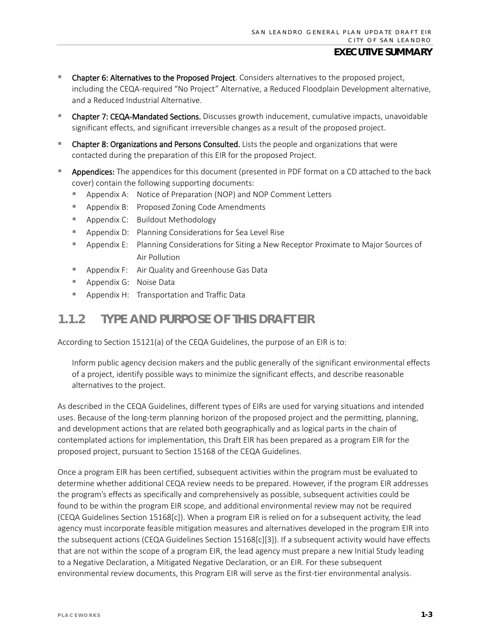- **E** Chapter 6: Alternatives to the Proposed Project. Considers alternatives to the proposed project, including the CEQA-required "No Project" Alternative, a Reduced Floodplain Development alternative, and a Reduced Industrial Alternative.
- Chapter 7: CEQA-Mandated Sections. Discusses growth inducement, cumulative impacts, unavoidable significant effects, and significant irreversible changes as a result of the proposed project.
- **Chapter 8: Organizations and Persons Consulted.** Lists the people and organizations that were contacted during the preparation of this EIR for the proposed Project.
- Appendices: The appendices for this document (presented in PDF format on a CD attached to the back cover) contain the following supporting documents:
	- Appendix A: Notice of Preparation (NOP) and NOP Comment Letters
	- **Appendix B: Proposed Zoning Code Amendments**
	- **Appendix C:** Buildout Methodology
	- **Appendix D:** Planning Considerations for Sea Level Rise
	- Appendix E: Planning Considerations for Siting a New Receptor Proximate to Major Sources of Air Pollution
	- **Appendix F:** Air Quality and Greenhouse Gas Data
	- Appendix G: Noise Data
	- **Appendix H: Transportation and Traffic Data**

## **1.1.2 TYPE AND PURPOSE OF THIS DRAFT EIR**

According to Section 15121(a) of the CEQA Guidelines, the purpose of an EIR is to:

Inform public agency decision makers and the public generally of the significant environmental effects of a project, identify possible ways to minimize the significant effects, and describe reasonable alternatives to the project.

As described in the CEQA Guidelines, different types of EIRs are used for varying situations and intended uses. Because of the long-term planning horizon of the proposed project and the permitting, planning, and development actions that are related both geographically and as logical parts in the chain of contemplated actions for implementation, this Draft EIR has been prepared as a program EIR for the proposed project, pursuant to Section 15168 of the CEQA Guidelines.

Once a program EIR has been certified, subsequent activities within the program must be evaluated to determine whether additional CEQA review needs to be prepared. However, if the program EIR addresses the program's effects as specifically and comprehensively as possible, subsequent activities could be found to be within the program EIR scope, and additional environmental review may not be required (CEQA Guidelines Section 15168[c]). When a program EIR is relied on for a subsequent activity, the lead agency must incorporate feasible mitigation measures and alternatives developed in the program EIR into the subsequent actions (CEQA Guidelines Section 15168[c][3]). If a subsequent activity would have effects that are not within the scope of a program EIR, the lead agency must prepare a new Initial Study leading to a Negative Declaration, a Mitigated Negative Declaration, or an EIR. For these subsequent environmental review documents, this Program EIR will serve as the first-tier environmental analysis.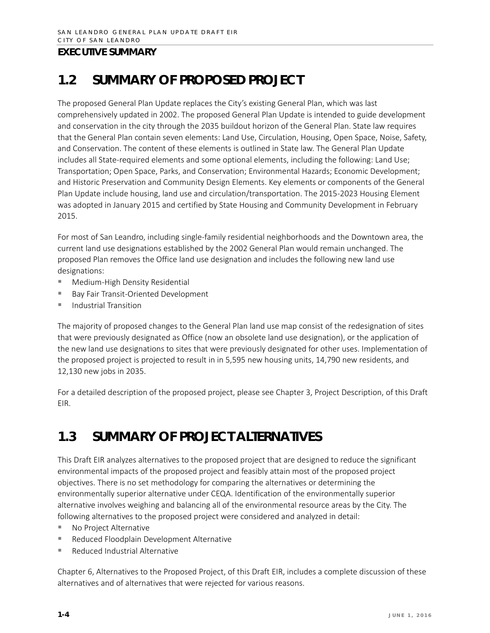## **1.2 SUMMARY OF PROPOSED PROJECT**

The proposed General Plan Update replaces the City's existing General Plan, which was last comprehensively updated in 2002. The proposed General Plan Update is intended to guide development and conservation in the city through the 2035 buildout horizon of the General Plan. State law requires that the General Plan contain seven elements: Land Use, Circulation, Housing, Open Space, Noise, Safety, and Conservation. The content of these elements is outlined in State law. The General Plan Update includes all State-required elements and some optional elements, including the following: Land Use; Transportation; Open Space, Parks, and Conservation; Environmental Hazards; Economic Development; and Historic Preservation and Community Design Elements. Key elements or components of the General Plan Update include housing, land use and circulation/transportation. The 2015-2023 Housing Element was adopted in January 2015 and certified by State Housing and Community Development in February 2015.

For most of San Leandro, including single-family residential neighborhoods and the Downtown area, the current land use designations established by the 2002 General Plan would remain unchanged. The proposed Plan removes the Office land use designation and includes the following new land use designations:

- Medium-High Density Residential
- Bay Fair Transit-Oriented Development
- $\blacksquare$  Industrial Transition

The majority of proposed changes to the General Plan land use map consist of the redesignation of sites that were previously designated as Office (now an obsolete land use designation), or the application of the new land use designations to sites that were previously designated for other uses. Implementation of the proposed project is projected to result in in 5,595 new housing units, 14,790 new residents, and 12,130 new jobs in 2035.

For a detailed description of the proposed project, please see Chapter 3, Project Description, of this Draft EIR.

## **1.3 SUMMARY OF PROJECT ALTERNATIVES**

This Draft EIR analyzes alternatives to the proposed project that are designed to reduce the significant environmental impacts of the proposed project and feasibly attain most of the proposed project objectives. There is no set methodology for comparing the alternatives or determining the environmentally superior alternative under CEQA. Identification of the environmentally superior alternative involves weighing and balancing all of the environmental resource areas by the City. The following alternatives to the proposed project were considered and analyzed in detail:

- No Project Alternative
- **Reduced Floodplain Development Alternative**
- Reduced Industrial Alternative

Chapter 6, Alternatives to the Proposed Project, of this Draft EIR, includes a complete discussion of these alternatives and of alternatives that were rejected for various reasons.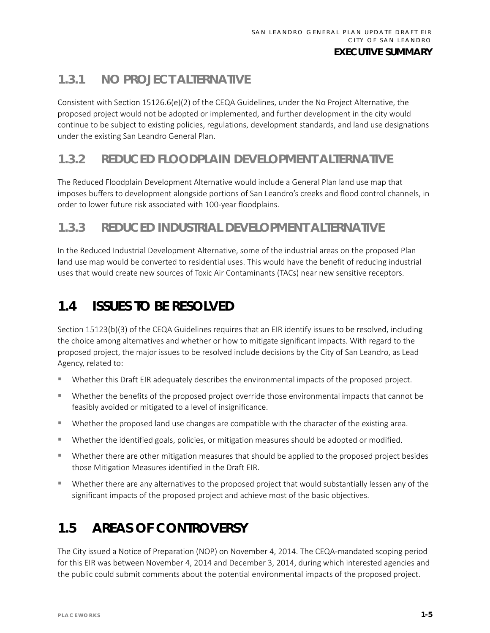## **1.3.1 NO PROJECT ALTERNATIVE**

Consistent with Section 15126.6(e)(2) of the CEQA Guidelines, under the No Project Alternative, the proposed project would not be adopted or implemented, and further development in the city would continue to be subject to existing policies, regulations, development standards, and land use designations under the existing San Leandro General Plan.

## **1.3.2 REDUCED FLOODPLAIN DEVELOPMENT ALTERNATIVE**

The Reduced Floodplain Development Alternative would include a General Plan land use map that imposes buffers to development alongside portions of San Leandro's creeks and flood control channels, in order to lower future risk associated with 100-year floodplains.

## **1.3.3 REDUCED INDUSTRIAL DEVELOPMENT ALTERNATIVE**

In the Reduced Industrial Development Alternative, some of the industrial areas on the proposed Plan land use map would be converted to residential uses. This would have the benefit of reducing industrial uses that would create new sources of Toxic Air Contaminants (TACs) near new sensitive receptors.

# **1.4 ISSUES TO BE RESOLVED**

Section 15123(b)(3) of the CEQA Guidelines requires that an EIR identify issues to be resolved, including the choice among alternatives and whether or how to mitigate significant impacts. With regard to the proposed project, the major issues to be resolved include decisions by the City of San Leandro, as Lead Agency, related to:

- Whether this Draft EIR adequately describes the environmental impacts of the proposed project.
- Whether the benefits of the proposed project override those environmental impacts that cannot be feasibly avoided or mitigated to a level of insignificance.
- Whether the proposed land use changes are compatible with the character of the existing area.
- Whether the identified goals, policies, or mitigation measures should be adopted or modified.
- Whether there are other mitigation measures that should be applied to the proposed project besides those Mitigation Measures identified in the Draft EIR.
- Whether there are any alternatives to the proposed project that would substantially lessen any of the significant impacts of the proposed project and achieve most of the basic objectives.

# **1.5 AREAS OF CONTROVERSY**

The City issued a Notice of Preparation (NOP) on November 4, 2014. The CEQA-mandated scoping period for this EIR was between November 4, 2014 and December 3, 2014, during which interested agencies and the public could submit comments about the potential environmental impacts of the proposed project.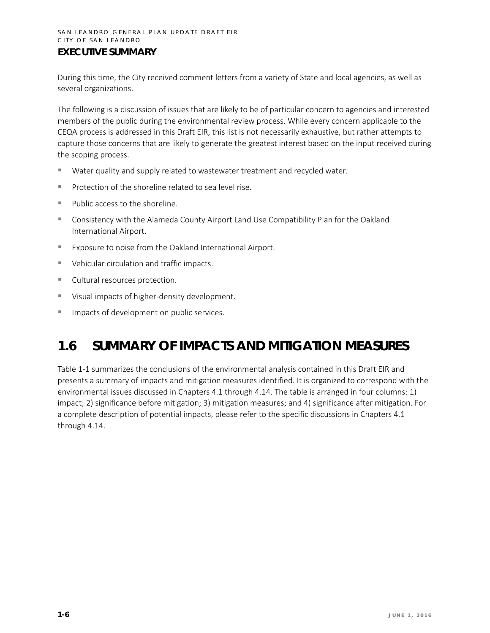During this time, the City received comment letters from a variety of State and local agencies, as well as several organizations.

The following is a discussion of issues that are likely to be of particular concern to agencies and interested members of the public during the environmental review process. While every concern applicable to the CEQA process is addressed in this Draft EIR, this list is not necessarily exhaustive, but rather attempts to capture those concerns that are likely to generate the greatest interest based on the input received during the scoping process.

- Water quality and supply related to wastewater treatment and recycled water.
- $\blacksquare$  Protection of the shoreline related to sea level rise.
- Public access to the shoreline.
- Consistency with the Alameda County Airport Land Use Compatibility Plan for the Oakland International Airport.
- **EXPOSUTE TO NOTE 6 THE OF THE OAKLANDER** Exposure to noise from the Oakland International Airport.
- Vehicular circulation and traffic impacts.
- **Cultural resources protection.**
- Visual impacts of higher-density development.
- **IMPACTED 19 Impacts of development on public services.**

## **1.6 SUMMARY OF IMPACTS AND MITIGATION MEASURES**

Table 1-1 summarizes the conclusions of the environmental analysis contained in this Draft EIR and presents a summary of impacts and mitigation measures identified. It is organized to correspond with the environmental issues discussed in Chapters 4.1 through 4.14. The table is arranged in four columns: 1) impact; 2) significance before mitigation; 3) mitigation measures; and 4) significance after mitigation. For a complete description of potential impacts, please refer to the specific discussions in Chapters 4.1 through 4.14.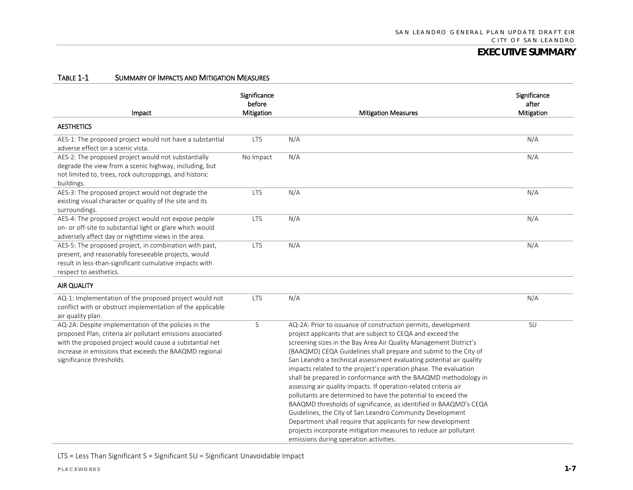#### TABLE 1-1 SUMMARY OF IMPACTS AND MITIGATION MEASURES

| Impact                                                                                                                                                                                                                                                              | Significance<br>before<br>Mitigation | <b>Mitigation Measures</b>                                                                                                                                                                                                                                                                                                                                                                                                                                                                                                                                                                                                                                                                                                                                                                                                                                                                                                              | Significance<br>after<br>Mitigation |
|---------------------------------------------------------------------------------------------------------------------------------------------------------------------------------------------------------------------------------------------------------------------|--------------------------------------|-----------------------------------------------------------------------------------------------------------------------------------------------------------------------------------------------------------------------------------------------------------------------------------------------------------------------------------------------------------------------------------------------------------------------------------------------------------------------------------------------------------------------------------------------------------------------------------------------------------------------------------------------------------------------------------------------------------------------------------------------------------------------------------------------------------------------------------------------------------------------------------------------------------------------------------------|-------------------------------------|
| <b>AESTHETICS</b>                                                                                                                                                                                                                                                   |                                      |                                                                                                                                                                                                                                                                                                                                                                                                                                                                                                                                                                                                                                                                                                                                                                                                                                                                                                                                         |                                     |
| AES-1: The proposed project would not have a substantial<br>adverse effect on a scenic vista.                                                                                                                                                                       | <b>LTS</b>                           | N/A                                                                                                                                                                                                                                                                                                                                                                                                                                                                                                                                                                                                                                                                                                                                                                                                                                                                                                                                     | N/A                                 |
| AES-2: The proposed project would not substantially<br>degrade the view from a scenic highway, including, but<br>not limited to, trees, rock outcroppings, and historic<br>buildings.                                                                               | No Impact                            | N/A                                                                                                                                                                                                                                                                                                                                                                                                                                                                                                                                                                                                                                                                                                                                                                                                                                                                                                                                     | N/A                                 |
| AES-3: The proposed project would not degrade the<br>existing visual character or quality of the site and its<br>surroundings.                                                                                                                                      | <b>LTS</b>                           | N/A                                                                                                                                                                                                                                                                                                                                                                                                                                                                                                                                                                                                                                                                                                                                                                                                                                                                                                                                     | N/A                                 |
| AES-4: The proposed project would not expose people<br>on- or off-site to substantial light or glare which would<br>adversely affect day or nighttime views in the area.                                                                                            | <b>LTS</b>                           | N/A                                                                                                                                                                                                                                                                                                                                                                                                                                                                                                                                                                                                                                                                                                                                                                                                                                                                                                                                     | N/A                                 |
| AES-5: The proposed project, in combination with past,<br>present, and reasonably foreseeable projects, would<br>result in less-than-significant cumulative impacts with<br>respect to aesthetics.                                                                  | <b>LTS</b>                           | N/A                                                                                                                                                                                                                                                                                                                                                                                                                                                                                                                                                                                                                                                                                                                                                                                                                                                                                                                                     | N/A                                 |
| AIR QUALITY                                                                                                                                                                                                                                                         |                                      |                                                                                                                                                                                                                                                                                                                                                                                                                                                                                                                                                                                                                                                                                                                                                                                                                                                                                                                                         |                                     |
| AQ-1: Implementation of the proposed project would not<br>conflict with or obstruct implementation of the applicable<br>air quality plan.                                                                                                                           | <b>LTS</b>                           | N/A                                                                                                                                                                                                                                                                                                                                                                                                                                                                                                                                                                                                                                                                                                                                                                                                                                                                                                                                     | N/A                                 |
| AQ-2A: Despite implementation of the policies in the<br>proposed Plan, criteria air pollutant emissions associated<br>with the proposed project would cause a substantial net<br>increase in emissions that exceeds the BAAQMD regional<br>significance thresholds. | S                                    | AQ-2A: Prior to issuance of construction permits, development<br>project applicants that are subject to CEQA and exceed the<br>screening sizes in the Bay Area Air Quality Management District's<br>(BAAQMD) CEQA Guidelines shall prepare and submit to the City of<br>San Leandro a technical assessment evaluating potential air quality<br>impacts related to the project's operation phase. The evaluation<br>shall be prepared in conformance with the BAAQMD methodology in<br>assessing air quality impacts. If operation-related criteria air<br>pollutants are determined to have the potential to exceed the<br>BAAQMD thresholds of significance, as identified in BAAQMD's CEQA<br>Guidelines, the City of San Leandro Community Development<br>Department shall require that applicants for new development<br>projects incorporate mitigation measures to reduce air pollutant<br>emissions during operation activities. | SU                                  |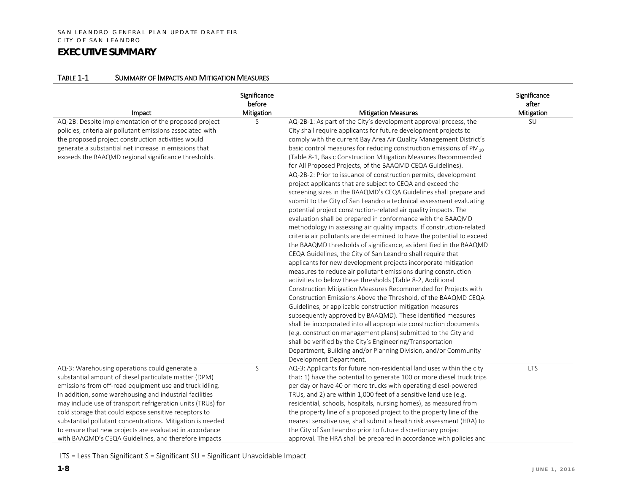#### TABLE 1-1 SUMMARY OF IMPACTS AND MITIGATION MEASURES

| Impact                                                      | Significance<br>before<br><b>Mitigation</b> | <b>Mitigation Measures</b>                                              | Significance<br>after<br>Mitigation |
|-------------------------------------------------------------|---------------------------------------------|-------------------------------------------------------------------------|-------------------------------------|
| AQ-2B: Despite implementation of the proposed project       | S                                           | AQ-2B-1: As part of the City's development approval process, the        | SU                                  |
| policies, criteria air pollutant emissions associated with  |                                             | City shall require applicants for future development projects to        |                                     |
| the proposed project construction activities would          |                                             | comply with the current Bay Area Air Quality Management District's      |                                     |
| generate a substantial net increase in emissions that       |                                             | basic control measures for reducing construction emissions of $PM_{10}$ |                                     |
| exceeds the BAAQMD regional significance thresholds.        |                                             | (Table 8-1, Basic Construction Mitigation Measures Recommended          |                                     |
|                                                             |                                             | for All Proposed Projects, of the BAAQMD CEQA Guidelines).              |                                     |
|                                                             |                                             | AQ-2B-2: Prior to issuance of construction permits, development         |                                     |
|                                                             |                                             | project applicants that are subject to CEQA and exceed the              |                                     |
|                                                             |                                             | screening sizes in the BAAQMD's CEQA Guidelines shall prepare and       |                                     |
|                                                             |                                             | submit to the City of San Leandro a technical assessment evaluating     |                                     |
|                                                             |                                             | potential project construction-related air quality impacts. The         |                                     |
|                                                             |                                             | evaluation shall be prepared in conformance with the BAAQMD             |                                     |
|                                                             |                                             | methodology in assessing air quality impacts. If construction-related   |                                     |
|                                                             |                                             | criteria air pollutants are determined to have the potential to exceed  |                                     |
|                                                             |                                             | the BAAQMD thresholds of significance, as identified in the BAAQMD      |                                     |
|                                                             |                                             | CEQA Guidelines, the City of San Leandro shall require that             |                                     |
|                                                             |                                             | applicants for new development projects incorporate mitigation          |                                     |
|                                                             |                                             | measures to reduce air pollutant emissions during construction          |                                     |
|                                                             |                                             | activities to below these thresholds (Table 8-2, Additional             |                                     |
|                                                             |                                             | Construction Mitigation Measures Recommended for Projects with          |                                     |
|                                                             |                                             | Construction Emissions Above the Threshold, of the BAAQMD CEQA          |                                     |
|                                                             |                                             | Guidelines, or applicable construction mitigation measures              |                                     |
|                                                             |                                             | subsequently approved by BAAQMD). These identified measures             |                                     |
|                                                             |                                             | shall be incorporated into all appropriate construction documents       |                                     |
|                                                             |                                             | (e.g. construction management plans) submitted to the City and          |                                     |
|                                                             |                                             | shall be verified by the City's Engineering/Transportation              |                                     |
|                                                             |                                             | Department, Building and/or Planning Division, and/or Community         |                                     |
|                                                             |                                             | Development Department.                                                 |                                     |
| AQ-3: Warehousing operations could generate a               | S                                           | AQ-3: Applicants for future non-residential land uses within the city   | <b>LTS</b>                          |
| substantial amount of diesel particulate matter (DPM)       |                                             | that: 1) have the potential to generate 100 or more diesel truck trips  |                                     |
| emissions from off-road equipment use and truck idling.     |                                             | per day or have 40 or more trucks with operating diesel-powered         |                                     |
| In addition, some warehousing and industrial facilities     |                                             | TRUs, and 2) are within 1,000 feet of a sensitive land use (e.g.        |                                     |
| may include use of transport refrigeration units (TRUs) for |                                             | residential, schools, hospitals, nursing homes), as measured from       |                                     |
| cold storage that could expose sensitive receptors to       |                                             | the property line of a proposed project to the property line of the     |                                     |
| substantial pollutant concentrations. Mitigation is needed  |                                             | nearest sensitive use, shall submit a health risk assessment (HRA) to   |                                     |
| to ensure that new projects are evaluated in accordance     |                                             | the City of San Leandro prior to future discretionary project           |                                     |
| with BAAQMD's CEQA Guidelines, and therefore impacts        |                                             | approval. The HRA shall be prepared in accordance with policies and     |                                     |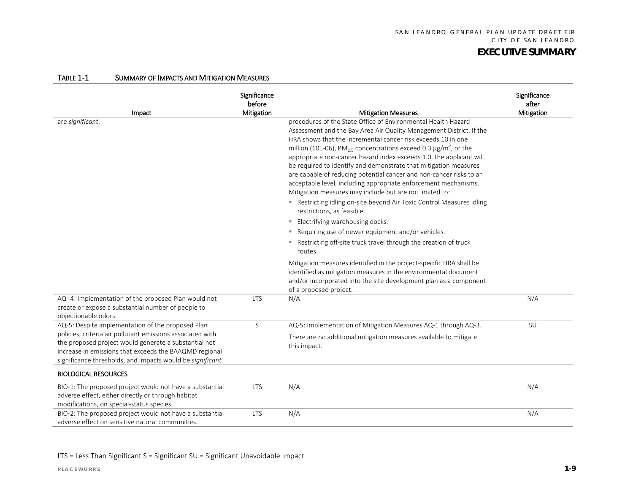| Impact                                                                                                                                                                                                                                      | Significance<br>before<br>Mitigation | <b>Mitigation Measures</b>                                                                                                                                                                                                                                                                                                                                                                                                                                                                                                                                                                                                                            | Significance<br>after<br>Mitigation |
|---------------------------------------------------------------------------------------------------------------------------------------------------------------------------------------------------------------------------------------------|--------------------------------------|-------------------------------------------------------------------------------------------------------------------------------------------------------------------------------------------------------------------------------------------------------------------------------------------------------------------------------------------------------------------------------------------------------------------------------------------------------------------------------------------------------------------------------------------------------------------------------------------------------------------------------------------------------|-------------------------------------|
| are significant.                                                                                                                                                                                                                            |                                      | procedures of the State Office of Environmental Health Hazard<br>Assessment and the Bay Area Air Quality Management District. If the<br>HRA shows that the incremental cancer risk exceeds 10 in one<br>million (10E-06), PM <sub>2.5</sub> concentrations exceed 0.3 $\mu$ g/m <sup>3</sup> , or the<br>appropriate non-cancer hazard index exceeds 1.0, the applicant will<br>be required to identify and demonstrate that mitigation measures<br>are capable of reducing potential cancer and non-cancer risks to an<br>acceptable level, including appropriate enforcement mechanisms.<br>Mitigation measures may include but are not limited to: |                                     |
|                                                                                                                                                                                                                                             |                                      | " Restricting idling on-site beyond Air Toxic Control Measures idling<br>restrictions, as feasible.                                                                                                                                                                                                                                                                                                                                                                                                                                                                                                                                                   |                                     |
|                                                                                                                                                                                                                                             |                                      | " Electrifying warehousing docks.                                                                                                                                                                                                                                                                                                                                                                                                                                                                                                                                                                                                                     |                                     |
|                                                                                                                                                                                                                                             |                                      | " Requiring use of newer equipment and/or vehicles.                                                                                                                                                                                                                                                                                                                                                                                                                                                                                                                                                                                                   |                                     |
|                                                                                                                                                                                                                                             |                                      | " Restricting off-site truck travel through the creation of truck<br>routes.                                                                                                                                                                                                                                                                                                                                                                                                                                                                                                                                                                          |                                     |
|                                                                                                                                                                                                                                             |                                      | Mitigation measures identified in the project-specific HRA shall be<br>identified as mitigation measures in the environmental document<br>and/or incorporated into the site development plan as a component<br>of a proposed project.                                                                                                                                                                                                                                                                                                                                                                                                                 |                                     |
| AQ -4: Implementation of the proposed Plan would not<br>create or expose a substantial number of people to<br>objectionable odors.                                                                                                          | <b>LTS</b>                           | N/A                                                                                                                                                                                                                                                                                                                                                                                                                                                                                                                                                                                                                                                   | N/A                                 |
| AQ-5: Despite implementation of the proposed Plan                                                                                                                                                                                           | S                                    | AQ-5: Implementation of Mitigation Measures AQ-1 through AQ-3.                                                                                                                                                                                                                                                                                                                                                                                                                                                                                                                                                                                        | SU                                  |
| policies, criteria air pollutant emissions associated with<br>the proposed project would generate a substantial net<br>increase in emissions that exceeds the BAAQMD regional<br>significance thresholds, and impacts would be significant. |                                      | There are no additional mitigation measures available to mitigate<br>this impact.                                                                                                                                                                                                                                                                                                                                                                                                                                                                                                                                                                     |                                     |
| <b>BIOLOGICAL RESOURCES</b>                                                                                                                                                                                                                 |                                      |                                                                                                                                                                                                                                                                                                                                                                                                                                                                                                                                                                                                                                                       |                                     |
| BIO-1: The proposed project would not have a substantial<br>adverse effect, either directly or through habitat<br>modifications, on special-status species.                                                                                 | LTS                                  | N/A                                                                                                                                                                                                                                                                                                                                                                                                                                                                                                                                                                                                                                                   | N/A                                 |
| BIO-2: The proposed project would not have a substantial<br>adverse effect on sensitive natural communities.                                                                                                                                | <b>LTS</b>                           | N/A                                                                                                                                                                                                                                                                                                                                                                                                                                                                                                                                                                                                                                                   | N/A                                 |

#### TABLE 1-1 SUMMARY OF IMPACTS AND MITIGATION MEASURES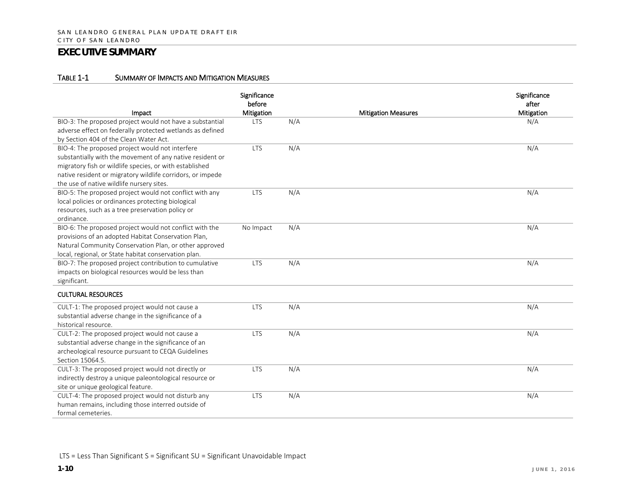#### TABLE 1-1 SUMMARY OF IMPACTS AND MITIGATION MEASURES

| Impact                                                                                                                                                                                                                                                                             | Significance<br>before<br>Mitigation |     | <b>Mitigation Measures</b> | Significance<br>after<br>Mitigation |
|------------------------------------------------------------------------------------------------------------------------------------------------------------------------------------------------------------------------------------------------------------------------------------|--------------------------------------|-----|----------------------------|-------------------------------------|
| BIO-3: The proposed project would not have a substantial<br>adverse effect on federally protected wetlands as defined<br>by Section 404 of the Clean Water Act.                                                                                                                    | <b>LTS</b>                           | N/A |                            | N/A                                 |
| BIO-4: The proposed project would not interfere<br>substantially with the movement of any native resident or<br>migratory fish or wildlife species, or with established<br>native resident or migratory wildlife corridors, or impede<br>the use of native wildlife nursery sites. | <b>LTS</b>                           | N/A |                            | N/A                                 |
| BIO-5: The proposed project would not conflict with any<br>local policies or ordinances protecting biological<br>resources, such as a tree preservation policy or<br>ordinance.                                                                                                    | <b>LTS</b>                           | N/A |                            | N/A                                 |
| BIO-6: The proposed project would not conflict with the<br>provisions of an adopted Habitat Conservation Plan,<br>Natural Community Conservation Plan, or other approved<br>local, regional, or State habitat conservation plan.                                                   | No Impact                            | N/A |                            | N/A                                 |
| BIO-7: The proposed project contribution to cumulative<br>impacts on biological resources would be less than<br>significant.                                                                                                                                                       | <b>LTS</b>                           | N/A |                            | N/A                                 |
| <b>CULTURAL RESOURCES</b>                                                                                                                                                                                                                                                          |                                      |     |                            |                                     |
| CULT-1: The proposed project would not cause a<br>substantial adverse change in the significance of a<br>historical resource.                                                                                                                                                      | <b>LTS</b>                           | N/A |                            | N/A                                 |
| CULT-2: The proposed project would not cause a<br>substantial adverse change in the significance of an<br>archeological resource pursuant to CEQA Guidelines<br>Section 15064.5.                                                                                                   | <b>LTS</b>                           | N/A |                            | N/A                                 |
| CULT-3: The proposed project would not directly or<br>indirectly destroy a unique paleontological resource or<br>site or unique geological feature.                                                                                                                                | <b>LTS</b>                           | N/A |                            | N/A                                 |
| CULT-4: The proposed project would not disturb any<br>human remains, including those interred outside of<br>formal cemeteries.                                                                                                                                                     | <b>LTS</b>                           | N/A |                            | N/A                                 |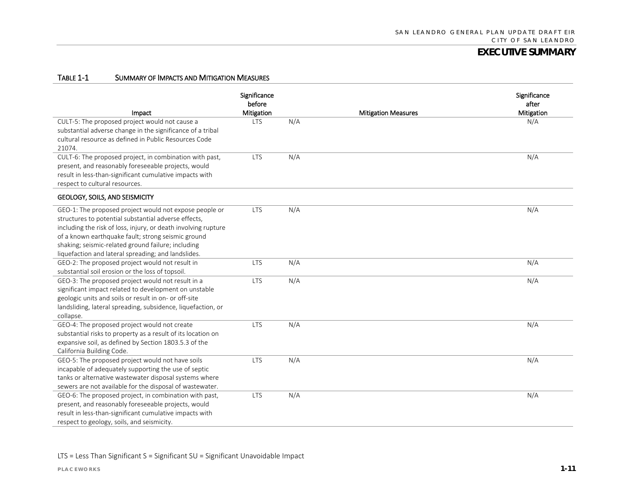#### TABLE 1-1 SUMMARY OF IMPACTS AND MITIGATION MEASURES

| Impact                                                                                                                                                                                                                                                                                                                                              | Significance<br>before<br>Mitigation |     | <b>Mitigation Measures</b> | Significance<br>after<br>Mitigation |
|-----------------------------------------------------------------------------------------------------------------------------------------------------------------------------------------------------------------------------------------------------------------------------------------------------------------------------------------------------|--------------------------------------|-----|----------------------------|-------------------------------------|
| CULT-5: The proposed project would not cause a<br>substantial adverse change in the significance of a tribal<br>cultural resource as defined in Public Resources Code<br>21074.                                                                                                                                                                     | <b>LTS</b>                           | N/A |                            | N/A                                 |
| CULT-6: The proposed project, in combination with past,<br>present, and reasonably foreseeable projects, would<br>result in less-than-significant cumulative impacts with<br>respect to cultural resources.                                                                                                                                         | <b>LTS</b>                           | N/A |                            | N/A                                 |
| GEOLOGY, SOILS, AND SEISMICITY                                                                                                                                                                                                                                                                                                                      |                                      |     |                            |                                     |
| GEO-1: The proposed project would not expose people or<br>structures to potential substantial adverse effects,<br>including the risk of loss, injury, or death involving rupture<br>of a known earthquake fault; strong seismic ground<br>shaking; seismic-related ground failure; including<br>liquefaction and lateral spreading; and landslides. | <b>LTS</b>                           | N/A |                            | N/A                                 |
| GEO-2: The proposed project would not result in<br>substantial soil erosion or the loss of topsoil.                                                                                                                                                                                                                                                 | <b>LTS</b>                           | N/A |                            | N/A                                 |
| GEO-3: The proposed project would not result in a<br>significant impact related to development on unstable<br>geologic units and soils or result in on- or off-site<br>landsliding, lateral spreading, subsidence, liquefaction, or<br>collapse.                                                                                                    | <b>LTS</b>                           | N/A |                            | N/A                                 |
| GEO-4: The proposed project would not create<br>substantial risks to property as a result of its location on<br>expansive soil, as defined by Section 1803.5.3 of the<br>California Building Code.                                                                                                                                                  | <b>LTS</b>                           | N/A |                            | N/A                                 |
| GEO-5: The proposed project would not have soils<br>incapable of adequately supporting the use of septic<br>tanks or alternative wastewater disposal systems where<br>sewers are not available for the disposal of wastewater.                                                                                                                      | <b>LTS</b>                           | N/A |                            | N/A                                 |
| GEO-6: The proposed project, in combination with past,<br>present, and reasonably foreseeable projects, would<br>result in less-than-significant cumulative impacts with<br>respect to geology, soils, and seismicity.                                                                                                                              | <b>LTS</b>                           | N/A |                            | N/A                                 |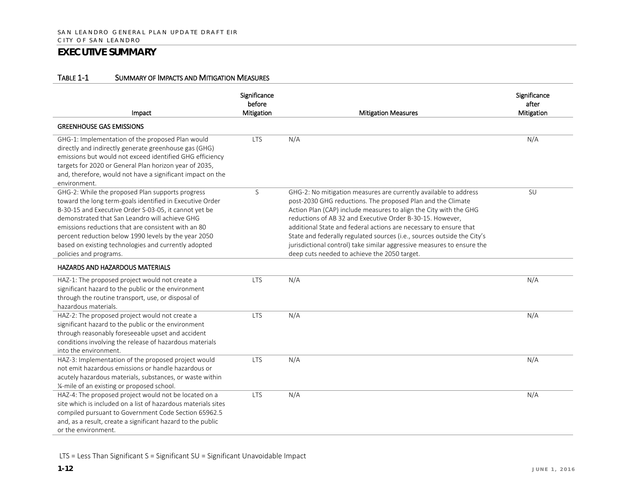#### TABLE 1-1 SUMMARY OF IMPACTS AND MITIGATION MEASURES

| Impact                                                                                                                                                                                                                                                                                                                                                                                                                                                      | Significance<br>before<br>Mitigation | <b>Mitigation Measures</b>                                                                                                                                                                                                                                                                                                                                                                                                                                                                                                                  | Significance<br>after<br>Mitigation |
|-------------------------------------------------------------------------------------------------------------------------------------------------------------------------------------------------------------------------------------------------------------------------------------------------------------------------------------------------------------------------------------------------------------------------------------------------------------|--------------------------------------|---------------------------------------------------------------------------------------------------------------------------------------------------------------------------------------------------------------------------------------------------------------------------------------------------------------------------------------------------------------------------------------------------------------------------------------------------------------------------------------------------------------------------------------------|-------------------------------------|
| <b>GREENHOUSE GAS EMISSIONS</b>                                                                                                                                                                                                                                                                                                                                                                                                                             |                                      |                                                                                                                                                                                                                                                                                                                                                                                                                                                                                                                                             |                                     |
| GHG-1: Implementation of the proposed Plan would<br>directly and indirectly generate greenhouse gas (GHG)<br>emissions but would not exceed identified GHG efficiency<br>targets for 2020 or General Plan horizon year of 2035,<br>and, therefore, would not have a significant impact on the<br>environment.                                                                                                                                               | <b>LTS</b>                           | N/A                                                                                                                                                                                                                                                                                                                                                                                                                                                                                                                                         | N/A                                 |
| GHG-2: While the proposed Plan supports progress<br>toward the long term-goals identified in Executive Order<br>B-30-15 and Executive Order S-03-05, it cannot yet be<br>demonstrated that San Leandro will achieve GHG<br>emissions reductions that are consistent with an 80<br>percent reduction below 1990 levels by the year 2050<br>based on existing technologies and currently adopted<br>policies and programs.<br>HAZARDS AND HAZARDOUS MATERIALS | S                                    | GHG-2: No mitigation measures are currently available to address<br>post-2030 GHG reductions. The proposed Plan and the Climate<br>Action Plan (CAP) include measures to align the City with the GHG<br>reductions of AB 32 and Executive Order B-30-15. However,<br>additional State and federal actions are necessary to ensure that<br>State and federally regulated sources (i.e., sources outside the City's<br>jurisdictional control) take similar aggressive measures to ensure the<br>deep cuts needed to achieve the 2050 target. | SU                                  |
| HAZ-1: The proposed project would not create a<br>significant hazard to the public or the environment<br>through the routine transport, use, or disposal of<br>hazardous materials.                                                                                                                                                                                                                                                                         | <b>LTS</b>                           | N/A                                                                                                                                                                                                                                                                                                                                                                                                                                                                                                                                         | N/A                                 |
| HAZ-2: The proposed project would not create a<br>significant hazard to the public or the environment<br>through reasonably foreseeable upset and accident<br>conditions involving the release of hazardous materials<br>into the environment.                                                                                                                                                                                                              | <b>LTS</b>                           | N/A                                                                                                                                                                                                                                                                                                                                                                                                                                                                                                                                         | N/A                                 |
| HAZ-3: Implementation of the proposed project would<br>not emit hazardous emissions or handle hazardous or<br>acutely hazardous materials, substances, or waste within<br>1/4-mile of an existing or proposed school.                                                                                                                                                                                                                                       | <b>LTS</b>                           | N/A                                                                                                                                                                                                                                                                                                                                                                                                                                                                                                                                         | N/A                                 |
| HAZ-4: The proposed project would not be located on a<br>site which is included on a list of hazardous materials sites<br>compiled pursuant to Government Code Section 65962.5<br>and, as a result, create a significant hazard to the public<br>or the environment.                                                                                                                                                                                        | <b>LTS</b>                           | N/A                                                                                                                                                                                                                                                                                                                                                                                                                                                                                                                                         | N/A                                 |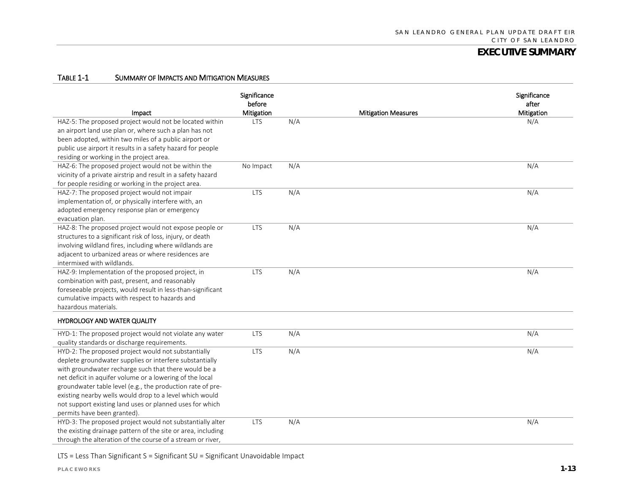#### TABLE 1-1 SUMMARY OF IMPACTS AND MITIGATION MEASURES

| Impact                                                                                                                                                                                                                                                                                                                                                                                                                                                 | Significance<br>before<br>Mitigation |     | <b>Mitigation Measures</b> | Significance<br>after<br>Mitigation |
|--------------------------------------------------------------------------------------------------------------------------------------------------------------------------------------------------------------------------------------------------------------------------------------------------------------------------------------------------------------------------------------------------------------------------------------------------------|--------------------------------------|-----|----------------------------|-------------------------------------|
| HAZ-5: The proposed project would not be located within<br>an airport land use plan or, where such a plan has not<br>been adopted, within two miles of a public airport or<br>public use airport it results in a safety hazard for people<br>residing or working in the project area.                                                                                                                                                                  | <b>LTS</b>                           | N/A |                            | N/A                                 |
| HAZ-6: The proposed project would not be within the<br>vicinity of a private airstrip and result in a safety hazard<br>for people residing or working in the project area.                                                                                                                                                                                                                                                                             | No Impact                            | N/A |                            | N/A                                 |
| HAZ-7: The proposed project would not impair<br>implementation of, or physically interfere with, an<br>adopted emergency response plan or emergency<br>evacuation plan.                                                                                                                                                                                                                                                                                | <b>LTS</b>                           | N/A |                            | N/A                                 |
| HAZ-8: The proposed project would not expose people or<br>structures to a significant risk of loss, injury, or death<br>involving wildland fires, including where wildlands are<br>adjacent to urbanized areas or where residences are<br>intermixed with wildlands.                                                                                                                                                                                   | <b>LTS</b>                           | N/A |                            | N/A                                 |
| HAZ-9: Implementation of the proposed project, in<br>combination with past, present, and reasonably<br>foreseeable projects, would result in less-than-significant<br>cumulative impacts with respect to hazards and<br>hazardous materials.                                                                                                                                                                                                           | <b>LTS</b>                           | N/A |                            | N/A                                 |
| <b>HYDROLOGY AND WATER QUALITY</b>                                                                                                                                                                                                                                                                                                                                                                                                                     |                                      |     |                            |                                     |
| HYD-1: The proposed project would not violate any water<br>quality standards or discharge requirements.                                                                                                                                                                                                                                                                                                                                                | <b>LTS</b>                           | N/A |                            | N/A                                 |
| HYD-2: The proposed project would not substantially<br>deplete groundwater supplies or interfere substantially<br>with groundwater recharge such that there would be a<br>net deficit in aquifer volume or a lowering of the local<br>groundwater table level (e.g., the production rate of pre-<br>existing nearby wells would drop to a level which would<br>not support existing land uses or planned uses for which<br>permits have been granted). | <b>LTS</b>                           | N/A |                            | N/A                                 |
| HYD-3: The proposed project would not substantially alter<br>the existing drainage pattern of the site or area, including<br>through the alteration of the course of a stream or river,                                                                                                                                                                                                                                                                | <b>LTS</b>                           | N/A |                            | N/A                                 |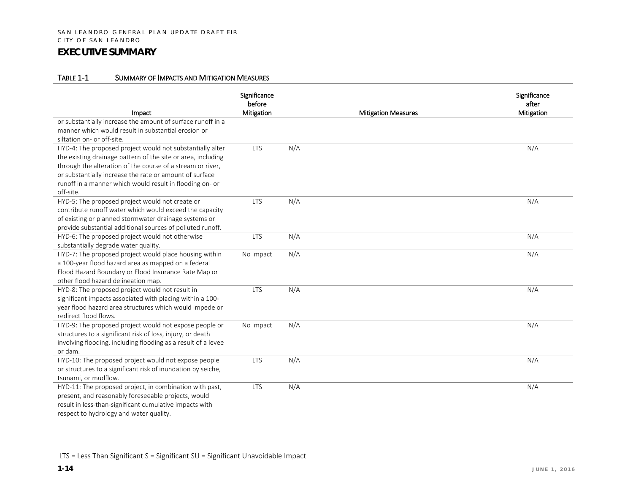#### TABLE 1-1 SUMMARY OF IMPACTS AND MITIGATION MEASURES

| Impact                                                                                                                                                                                                                                                                                                                      | Significance<br>before<br>Mitigation |     | <b>Mitigation Measures</b> | Significance<br>after<br>Mitigation |
|-----------------------------------------------------------------------------------------------------------------------------------------------------------------------------------------------------------------------------------------------------------------------------------------------------------------------------|--------------------------------------|-----|----------------------------|-------------------------------------|
| or substantially increase the amount of surface runoff in a<br>manner which would result in substantial erosion or<br>siltation on- or off-site.                                                                                                                                                                            |                                      |     |                            |                                     |
| HYD-4: The proposed project would not substantially alter<br>the existing drainage pattern of the site or area, including<br>through the alteration of the course of a stream or river,<br>or substantially increase the rate or amount of surface<br>runoff in a manner which would result in flooding on- or<br>off-site. | <b>LTS</b>                           | N/A |                            | N/A                                 |
| HYD-5: The proposed project would not create or<br>contribute runoff water which would exceed the capacity<br>of existing or planned stormwater drainage systems or<br>provide substantial additional sources of polluted runoff.                                                                                           | <b>LTS</b>                           | N/A |                            | N/A                                 |
| HYD-6: The proposed project would not otherwise<br>substantially degrade water quality.                                                                                                                                                                                                                                     | <b>LTS</b>                           | N/A |                            | N/A                                 |
| HYD-7: The proposed project would place housing within<br>a 100-year flood hazard area as mapped on a federal<br>Flood Hazard Boundary or Flood Insurance Rate Map or<br>other flood hazard delineation map.                                                                                                                | No Impact                            | N/A |                            | N/A                                 |
| HYD-8: The proposed project would not result in<br>significant impacts associated with placing within a 100-<br>year flood hazard area structures which would impede or<br>redirect flood flows.                                                                                                                            | <b>LTS</b>                           | N/A |                            | N/A                                 |
| HYD-9: The proposed project would not expose people or<br>structures to a significant risk of loss, injury, or death<br>involving flooding, including flooding as a result of a levee<br>or dam.                                                                                                                            | No Impact                            | N/A |                            | N/A                                 |
| HYD-10: The proposed project would not expose people<br>or structures to a significant risk of inundation by seiche,<br>tsunami, or mudflow.                                                                                                                                                                                | <b>LTS</b>                           | N/A |                            | N/A                                 |
| HYD-11: The proposed project, in combination with past,<br>present, and reasonably foreseeable projects, would<br>result in less-than-significant cumulative impacts with<br>respect to hydrology and water quality.                                                                                                        | <b>LTS</b>                           | N/A |                            | N/A                                 |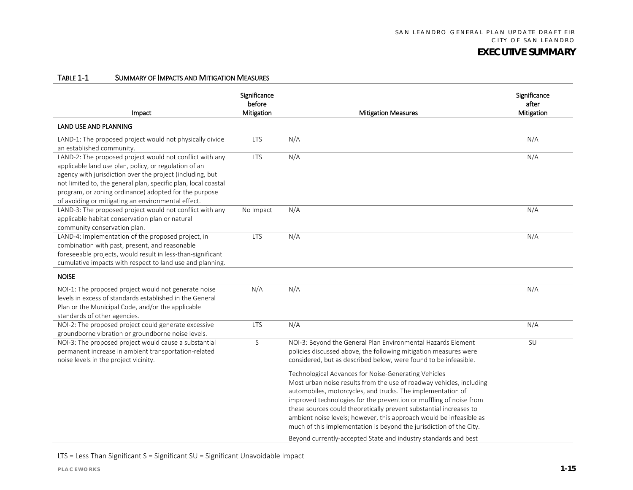#### TABLE 1-1 SUMMARY OF IMPACTS AND MITIGATION MEASURES

| Impact                                                                                                                                                                                                                                                                                                                                                          | Significance<br>before<br>Mitigation | <b>Mitigation Measures</b>                                                                                                                                                                                                                                                                                                                                                                                                                                                                                                                                      | Significance<br>after<br>Mitigation |
|-----------------------------------------------------------------------------------------------------------------------------------------------------------------------------------------------------------------------------------------------------------------------------------------------------------------------------------------------------------------|--------------------------------------|-----------------------------------------------------------------------------------------------------------------------------------------------------------------------------------------------------------------------------------------------------------------------------------------------------------------------------------------------------------------------------------------------------------------------------------------------------------------------------------------------------------------------------------------------------------------|-------------------------------------|
| <b>LAND USE AND PLANNING</b>                                                                                                                                                                                                                                                                                                                                    |                                      |                                                                                                                                                                                                                                                                                                                                                                                                                                                                                                                                                                 |                                     |
| LAND-1: The proposed project would not physically divide<br>an established community.                                                                                                                                                                                                                                                                           | <b>LTS</b>                           | N/A                                                                                                                                                                                                                                                                                                                                                                                                                                                                                                                                                             | N/A                                 |
| LAND-2: The proposed project would not conflict with any<br>applicable land use plan, policy, or regulation of an<br>agency with jurisdiction over the project (including, but<br>not limited to, the general plan, specific plan, local coastal<br>program, or zoning ordinance) adopted for the purpose<br>of avoiding or mitigating an environmental effect. | <b>LTS</b>                           | N/A                                                                                                                                                                                                                                                                                                                                                                                                                                                                                                                                                             | N/A                                 |
| LAND-3: The proposed project would not conflict with any<br>applicable habitat conservation plan or natural<br>community conservation plan.                                                                                                                                                                                                                     | No Impact                            | N/A                                                                                                                                                                                                                                                                                                                                                                                                                                                                                                                                                             | N/A                                 |
| LAND-4: Implementation of the proposed project, in<br>combination with past, present, and reasonable<br>foreseeable projects, would result in less-than-significant<br>cumulative impacts with respect to land use and planning.                                                                                                                                | <b>LTS</b>                           | N/A                                                                                                                                                                                                                                                                                                                                                                                                                                                                                                                                                             | N/A                                 |
| <b>NOISE</b>                                                                                                                                                                                                                                                                                                                                                    |                                      |                                                                                                                                                                                                                                                                                                                                                                                                                                                                                                                                                                 |                                     |
| NOI-1: The proposed project would not generate noise<br>levels in excess of standards established in the General<br>Plan or the Municipal Code, and/or the applicable<br>standards of other agencies.                                                                                                                                                           | N/A                                  | N/A                                                                                                                                                                                                                                                                                                                                                                                                                                                                                                                                                             | N/A                                 |
| NOI-2: The proposed project could generate excessive<br>groundborne vibration or groundborne noise levels.                                                                                                                                                                                                                                                      | <b>LTS</b>                           | N/A                                                                                                                                                                                                                                                                                                                                                                                                                                                                                                                                                             | N/A                                 |
| NOI-3: The proposed project would cause a substantial<br>permanent increase in ambient transportation-related<br>noise levels in the project vicinity.                                                                                                                                                                                                          | S                                    | NOI-3: Beyond the General Plan Environmental Hazards Element<br>policies discussed above, the following mitigation measures were<br>considered, but as described below, were found to be infeasible.                                                                                                                                                                                                                                                                                                                                                            | SU                                  |
|                                                                                                                                                                                                                                                                                                                                                                 |                                      | <b>Technological Advances for Noise-Generating Vehicles</b><br>Most urban noise results from the use of roadway vehicles, including<br>automobiles, motorcycles, and trucks. The implementation of<br>improved technologies for the prevention or muffling of noise from<br>these sources could theoretically prevent substantial increases to<br>ambient noise levels; however, this approach would be infeasible as<br>much of this implementation is beyond the jurisdiction of the City.<br>Beyond currently-accepted State and industry standards and best |                                     |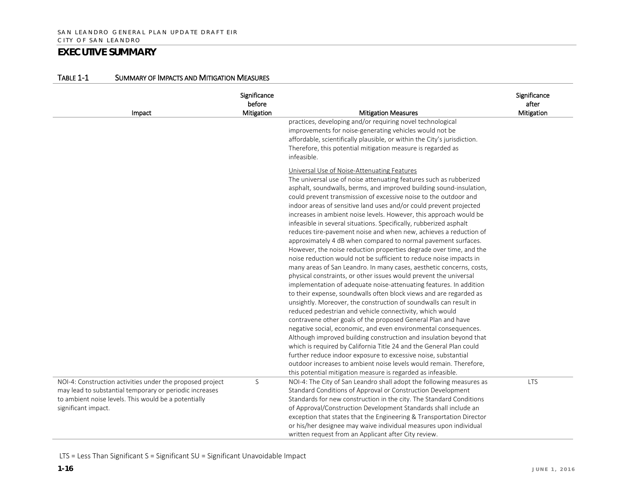| Impact                                                    | Significance<br>before<br><b>Mitigation</b> | <b>Mitigation Measures</b>                                                                                                           | Significance<br>after<br>Mitigation |
|-----------------------------------------------------------|---------------------------------------------|--------------------------------------------------------------------------------------------------------------------------------------|-------------------------------------|
|                                                           |                                             | practices, developing and/or requiring novel technological                                                                           |                                     |
|                                                           |                                             | improvements for noise-generating vehicles would not be                                                                              |                                     |
|                                                           |                                             | affordable, scientifically plausible, or within the City's jurisdiction.                                                             |                                     |
|                                                           |                                             | Therefore, this potential mitigation measure is regarded as                                                                          |                                     |
|                                                           |                                             | infeasible.                                                                                                                          |                                     |
|                                                           |                                             | Universal Use of Noise-Attenuating Features                                                                                          |                                     |
|                                                           |                                             | The universal use of noise attenuating features such as rubberized                                                                   |                                     |
|                                                           |                                             | asphalt, soundwalls, berms, and improved building sound-insulation,                                                                  |                                     |
|                                                           |                                             | could prevent transmission of excessive noise to the outdoor and                                                                     |                                     |
|                                                           |                                             | indoor areas of sensitive land uses and/or could prevent projected                                                                   |                                     |
|                                                           |                                             | increases in ambient noise levels. However, this approach would be                                                                   |                                     |
|                                                           |                                             | infeasible in several situations. Specifically, rubberized asphalt                                                                   |                                     |
|                                                           |                                             | reduces tire-pavement noise and when new, achieves a reduction of                                                                    |                                     |
|                                                           |                                             | approximately 4 dB when compared to normal pavement surfaces.                                                                        |                                     |
|                                                           |                                             | However, the noise reduction properties degrade over time, and the                                                                   |                                     |
|                                                           |                                             | noise reduction would not be sufficient to reduce noise impacts in                                                                   |                                     |
|                                                           |                                             | many areas of San Leandro. In many cases, aesthetic concerns, costs,                                                                 |                                     |
|                                                           |                                             | physical constraints, or other issues would prevent the universal                                                                    |                                     |
|                                                           |                                             | implementation of adequate noise-attenuating features. In addition                                                                   |                                     |
|                                                           |                                             | to their expense, soundwalls often block views and are regarded as                                                                   |                                     |
|                                                           |                                             | unsightly. Moreover, the construction of soundwalls can result in                                                                    |                                     |
|                                                           |                                             | reduced pedestrian and vehicle connectivity, which would                                                                             |                                     |
|                                                           |                                             | contravene other goals of the proposed General Plan and have                                                                         |                                     |
|                                                           |                                             | negative social, economic, and even environmental consequences.                                                                      |                                     |
|                                                           |                                             | Although improved building construction and insulation beyond that                                                                   |                                     |
|                                                           |                                             | which is required by California Title 24 and the General Plan could                                                                  |                                     |
|                                                           |                                             | further reduce indoor exposure to excessive noise, substantial                                                                       |                                     |
|                                                           |                                             | outdoor increases to ambient noise levels would remain. Therefore,                                                                   |                                     |
| NOI-4: Construction activities under the proposed project | S                                           | this potential mitigation measure is regarded as infeasible.<br>NOI-4: The City of San Leandro shall adopt the following measures as | <b>LTS</b>                          |
| may lead to substantial temporary or periodic increases   |                                             | Standard Conditions of Approval or Construction Development                                                                          |                                     |
| to ambient noise levels. This would be a potentially      |                                             | Standards for new construction in the city. The Standard Conditions                                                                  |                                     |
| significant impact.                                       |                                             | of Approval/Construction Development Standards shall include an                                                                      |                                     |
|                                                           |                                             | exception that states that the Engineering & Transportation Director                                                                 |                                     |
|                                                           |                                             | or his/her designee may waive individual measures upon individual                                                                    |                                     |
|                                                           |                                             | written request from an Applicant after City review.                                                                                 |                                     |

#### TABLE 1-1 SUMMARY OF IMPACTS AND MITIGATION MEASURES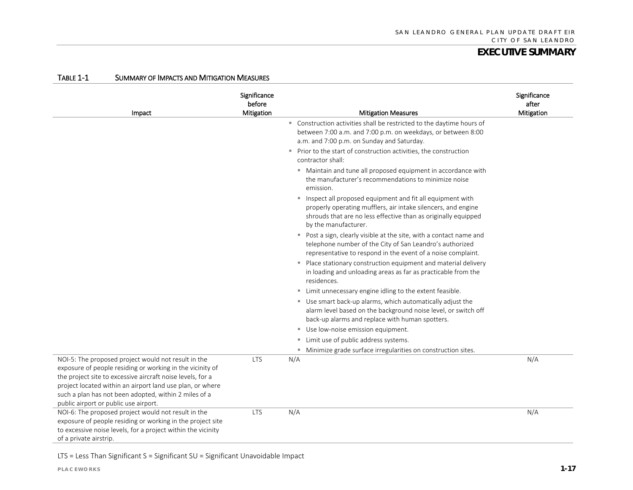| Impact                                                                                                                                                                                                                                                                                                                                        | Significance<br>before<br>Mitigation | <b>Mitigation Measures</b>                                                                                                                                                                                             | Significance<br>after<br>Mitigation |
|-----------------------------------------------------------------------------------------------------------------------------------------------------------------------------------------------------------------------------------------------------------------------------------------------------------------------------------------------|--------------------------------------|------------------------------------------------------------------------------------------------------------------------------------------------------------------------------------------------------------------------|-------------------------------------|
|                                                                                                                                                                                                                                                                                                                                               |                                      | " Construction activities shall be restricted to the daytime hours of<br>between 7:00 a.m. and 7:00 p.m. on weekdays, or between 8:00<br>a.m. and 7:00 p.m. on Sunday and Saturday.                                    |                                     |
|                                                                                                                                                                                                                                                                                                                                               |                                      | Prior to the start of construction activities, the construction<br>contractor shall:                                                                                                                                   |                                     |
|                                                                                                                                                                                                                                                                                                                                               |                                      | " Maintain and tune all proposed equipment in accordance with<br>the manufacturer's recommendations to minimize noise<br>emission.                                                                                     |                                     |
|                                                                                                                                                                                                                                                                                                                                               |                                      | " Inspect all proposed equipment and fit all equipment with<br>properly operating mufflers, air intake silencers, and engine<br>shrouds that are no less effective than as originally equipped<br>by the manufacturer. |                                     |
|                                                                                                                                                                                                                                                                                                                                               |                                      | Post a sign, clearly visible at the site, with a contact name and<br>telephone number of the City of San Leandro's authorized<br>representative to respond in the event of a noise complaint.                          |                                     |
|                                                                                                                                                                                                                                                                                                                                               |                                      | • Place stationary construction equipment and material delivery<br>in loading and unloading areas as far as practicable from the<br>residences.                                                                        |                                     |
|                                                                                                                                                                                                                                                                                                                                               |                                      | " Limit unnecessary engine idling to the extent feasible.                                                                                                                                                              |                                     |
|                                                                                                                                                                                                                                                                                                                                               |                                      | Use smart back-up alarms, which automatically adjust the<br>alarm level based on the background noise level, or switch off<br>back-up alarms and replace with human spotters.                                          |                                     |
|                                                                                                                                                                                                                                                                                                                                               |                                      | Use low-noise emission equipment.                                                                                                                                                                                      |                                     |
|                                                                                                                                                                                                                                                                                                                                               |                                      | Limit use of public address systems.<br>m.                                                                                                                                                                             |                                     |
|                                                                                                                                                                                                                                                                                                                                               |                                      | Minimize grade surface irregularities on construction sites.<br>m.                                                                                                                                                     |                                     |
| NOI-5: The proposed project would not result in the<br>exposure of people residing or working in the vicinity of<br>the project site to excessive aircraft noise levels, for a<br>project located within an airport land use plan, or where<br>such a plan has not been adopted, within 2 miles of a<br>public airport or public use airport. | <b>LTS</b>                           | N/A                                                                                                                                                                                                                    | N/A                                 |
| NOI-6: The proposed project would not result in the<br>exposure of people residing or working in the project site<br>to excessive noise levels, for a project within the vicinity<br>of a private airstrip.                                                                                                                                   | <b>LTS</b>                           | N/A                                                                                                                                                                                                                    | N/A                                 |

#### TABLE 1-1 SUMMARY OF IMPACTS AND MITIGATION MEASURES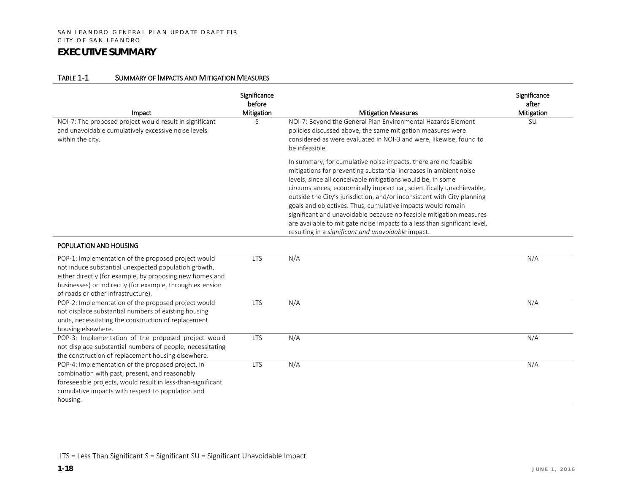#### TABLE 1-1 SUMMARY OF IMPACTS AND MITIGATION MEASURES

| Impact                                                                                                                                                                                                                                                                     | Significance<br>before<br>Mitigation | <b>Mitigation Measures</b>                                                                                                                                                                                                                                                                                                                                                                                                                                                                                                                                                                                                       | Significance<br>after<br>Mitigation |
|----------------------------------------------------------------------------------------------------------------------------------------------------------------------------------------------------------------------------------------------------------------------------|--------------------------------------|----------------------------------------------------------------------------------------------------------------------------------------------------------------------------------------------------------------------------------------------------------------------------------------------------------------------------------------------------------------------------------------------------------------------------------------------------------------------------------------------------------------------------------------------------------------------------------------------------------------------------------|-------------------------------------|
| NOI-7: The proposed project would result in significant<br>and unavoidable cumulatively excessive noise levels<br>within the city.                                                                                                                                         | S                                    | NOI-7: Beyond the General Plan Environmental Hazards Element<br>policies discussed above, the same mitigation measures were<br>considered as were evaluated in NOI-3 and were, likewise, found to<br>be infeasible.                                                                                                                                                                                                                                                                                                                                                                                                              | SU                                  |
|                                                                                                                                                                                                                                                                            |                                      | In summary, for cumulative noise impacts, there are no feasible<br>mitigations for preventing substantial increases in ambient noise<br>levels, since all conceivable mitigations would be, in some<br>circumstances, economically impractical, scientifically unachievable,<br>outside the City's jurisdiction, and/or inconsistent with City planning<br>goals and objectives. Thus, cumulative impacts would remain<br>significant and unavoidable because no feasible mitigation measures<br>are available to mitigate noise impacts to a less than significant level,<br>resulting in a significant and unavoidable impact. |                                     |
| POPULATION AND HOUSING                                                                                                                                                                                                                                                     |                                      |                                                                                                                                                                                                                                                                                                                                                                                                                                                                                                                                                                                                                                  |                                     |
| POP-1: Implementation of the proposed project would<br>not induce substantial unexpected population growth,<br>either directly (for example, by proposing new homes and<br>businesses) or indirectly (for example, through extension<br>of roads or other infrastructure). | <b>LTS</b>                           | N/A                                                                                                                                                                                                                                                                                                                                                                                                                                                                                                                                                                                                                              | N/A                                 |
| POP-2: Implementation of the proposed project would<br>not displace substantial numbers of existing housing<br>units, necessitating the construction of replacement<br>housing elsewhere.                                                                                  | <b>LTS</b>                           | N/A                                                                                                                                                                                                                                                                                                                                                                                                                                                                                                                                                                                                                              | N/A                                 |
| POP-3: Implementation of the proposed project would<br>not displace substantial numbers of people, necessitating<br>the construction of replacement housing elsewhere.                                                                                                     | <b>LTS</b>                           | N/A                                                                                                                                                                                                                                                                                                                                                                                                                                                                                                                                                                                                                              | N/A                                 |
| POP-4: Implementation of the proposed project, in<br>combination with past, present, and reasonably<br>foreseeable projects, would result in less-than-significant<br>cumulative impacts with respect to population and<br>housing.                                        | <b>LTS</b>                           | N/A                                                                                                                                                                                                                                                                                                                                                                                                                                                                                                                                                                                                                              | N/A                                 |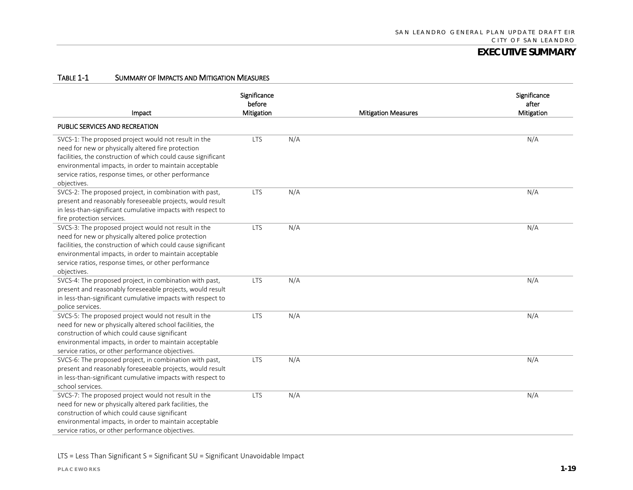#### TABLE 1-1 SUMMARY OF IMPACTS AND MITIGATION MEASURES

| Impact                                                                                                                                                                                                                                                                                                         | Significance<br>before<br>Mitigation |     | <b>Mitigation Measures</b> | Significance<br>after<br>Mitigation |
|----------------------------------------------------------------------------------------------------------------------------------------------------------------------------------------------------------------------------------------------------------------------------------------------------------------|--------------------------------------|-----|----------------------------|-------------------------------------|
| PUBLIC SERVICES AND RECREATION                                                                                                                                                                                                                                                                                 |                                      |     |                            |                                     |
| SVCS-1: The proposed project would not result in the<br>need for new or physically altered fire protection<br>facilities, the construction of which could cause significant<br>environmental impacts, in order to maintain acceptable<br>service ratios, response times, or other performance<br>objectives.   | <b>LTS</b>                           | N/A |                            | N/A                                 |
| SVCS-2: The proposed project, in combination with past,<br>present and reasonably foreseeable projects, would result<br>in less-than-significant cumulative impacts with respect to<br>fire protection services.                                                                                               | <b>LTS</b>                           | N/A |                            | N/A                                 |
| SVCS-3: The proposed project would not result in the<br>need for new or physically altered police protection<br>facilities, the construction of which could cause significant<br>environmental impacts, in order to maintain acceptable<br>service ratios, response times, or other performance<br>objectives. | <b>LTS</b>                           | N/A |                            | N/A                                 |
| SVCS-4: The proposed project, in combination with past,<br>present and reasonably foreseeable projects, would result<br>in less-than-significant cumulative impacts with respect to<br>police services.                                                                                                        | <b>LTS</b>                           | N/A |                            | N/A                                 |
| SVCS-5: The proposed project would not result in the<br>need for new or physically altered school facilities, the<br>construction of which could cause significant<br>environmental impacts, in order to maintain acceptable<br>service ratios, or other performance objectives.                               | <b>LTS</b>                           | N/A |                            | N/A                                 |
| SVCS-6: The proposed project, in combination with past,<br>present and reasonably foreseeable projects, would result<br>in less-than-significant cumulative impacts with respect to<br>school services.                                                                                                        | <b>LTS</b>                           | N/A |                            | N/A                                 |
| SVCS-7: The proposed project would not result in the<br>need for new or physically altered park facilities, the<br>construction of which could cause significant<br>environmental impacts, in order to maintain acceptable<br>service ratios, or other performance objectives.                                 | <b>LTS</b>                           | N/A |                            | N/A                                 |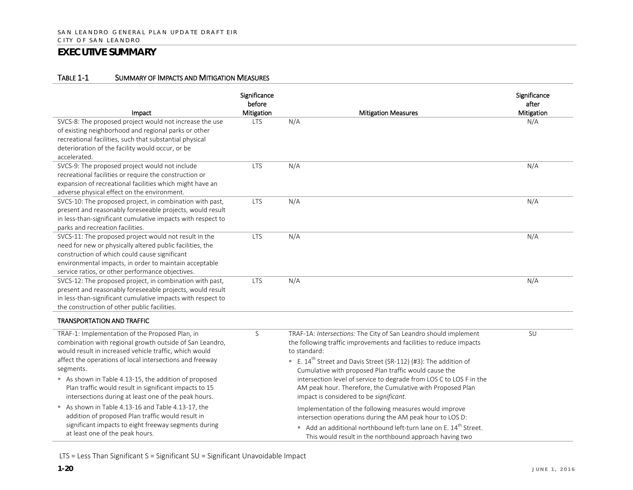#### TABLE 1-1 SUMMARY OF IMPACTS AND MITIGATION MEASURES

| Impact                                                                                                                                                                                                                                                                                                                                                                                                                  | Significance<br>before<br>Mitigation | <b>Mitigation Measures</b>                                                                                                                                                                                                                                                                                                                                                                                                                                              | Significance<br>after<br>Mitigation |
|-------------------------------------------------------------------------------------------------------------------------------------------------------------------------------------------------------------------------------------------------------------------------------------------------------------------------------------------------------------------------------------------------------------------------|--------------------------------------|-------------------------------------------------------------------------------------------------------------------------------------------------------------------------------------------------------------------------------------------------------------------------------------------------------------------------------------------------------------------------------------------------------------------------------------------------------------------------|-------------------------------------|
| SVCS-8: The proposed project would not increase the use<br>of existing neighborhood and regional parks or other<br>recreational facilities, such that substantial physical<br>deterioration of the facility would occur, or be<br>accelerated.                                                                                                                                                                          | <b>LTS</b>                           | N/A                                                                                                                                                                                                                                                                                                                                                                                                                                                                     | N/A                                 |
| SVCS-9: The proposed project would not include<br>recreational facilities or require the construction or<br>expansion of recreational facilities which might have an<br>adverse physical effect on the environment.                                                                                                                                                                                                     | <b>LTS</b>                           | N/A                                                                                                                                                                                                                                                                                                                                                                                                                                                                     | N/A                                 |
| SVCS-10: The proposed project, in combination with past,<br>present and reasonably foreseeable projects, would result<br>in less-than-significant cumulative impacts with respect to<br>parks and recreation facilities.                                                                                                                                                                                                | <b>LTS</b>                           | N/A                                                                                                                                                                                                                                                                                                                                                                                                                                                                     | N/A                                 |
| SVCS-11: The proposed project would not result in the<br>need for new or physically altered public facilities, the<br>construction of which could cause significant<br>environmental impacts, in order to maintain acceptable<br>service ratios, or other performance objectives.                                                                                                                                       | <b>LTS</b>                           | N/A                                                                                                                                                                                                                                                                                                                                                                                                                                                                     | N/A                                 |
| SVCS-12: The proposed project, in combination with past,<br>present and reasonably foreseeable projects, would result<br>in less-than-significant cumulative impacts with respect to<br>the construction of other public facilities.                                                                                                                                                                                    | <b>LTS</b>                           | N/A                                                                                                                                                                                                                                                                                                                                                                                                                                                                     | N/A                                 |
| <b>TRANSPORTATION AND TRAFFIC</b>                                                                                                                                                                                                                                                                                                                                                                                       |                                      |                                                                                                                                                                                                                                                                                                                                                                                                                                                                         |                                     |
| TRAF-1: Implementation of the Proposed Plan, in<br>combination with regional growth outside of San Leandro,<br>would result in increased vehicle traffic, which would<br>affect the operations of local intersections and freeway<br>segments.<br>As shown in Table 4.13-15, the addition of proposed<br>Plan traffic would result in significant impacts to 15<br>intersections during at least one of the peak hours. | S                                    | TRAF-1A: Intersections: The City of San Leandro should implement<br>the following traffic improvements and facilities to reduce impacts<br>to standard:<br>E. $14^{th}$ Street and Davis Street (SR-112) (#3): The addition of<br>Cumulative with proposed Plan traffic would cause the<br>intersection level of service to degrade from LOS C to LOS F in the<br>AM peak hour. Therefore, the Cumulative with Proposed Plan<br>impact is considered to be significant. | SU                                  |
| As shown in Table 4.13-16 and Table 4.13-17, the<br>addition of proposed Plan traffic would result in<br>significant impacts to eight freeway segments during<br>at least one of the peak hours.                                                                                                                                                                                                                        |                                      | Implementation of the following measures would improve<br>intersection operations during the AM peak hour to LOS D:<br>Add an additional northbound left-turn lane on E. 14 <sup>th</sup> Street.<br>This would result in the northbound approach having two                                                                                                                                                                                                            |                                     |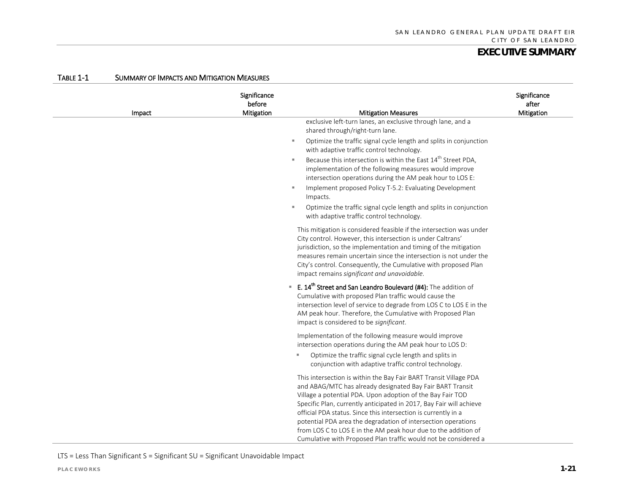| Impact | Significance<br>before<br>Mitigation | <b>Mitigation Measures</b>                                                                                                                                                                                                                                                                                                                                                                                                                                                                                                                  | Significance<br>after<br>Mitigation |
|--------|--------------------------------------|---------------------------------------------------------------------------------------------------------------------------------------------------------------------------------------------------------------------------------------------------------------------------------------------------------------------------------------------------------------------------------------------------------------------------------------------------------------------------------------------------------------------------------------------|-------------------------------------|
|        |                                      | exclusive left-turn lanes, an exclusive through lane, and a<br>shared through/right-turn lane.                                                                                                                                                                                                                                                                                                                                                                                                                                              |                                     |
|        |                                      | Optimize the traffic signal cycle length and splits in conjunction<br>$\mathbf{u}$<br>with adaptive traffic control technology.                                                                                                                                                                                                                                                                                                                                                                                                             |                                     |
|        |                                      | Because this intersection is within the East 14 <sup>th</sup> Street PDA,<br>$\mathbf{u}$<br>implementation of the following measures would improve<br>intersection operations during the AM peak hour to LOS E:                                                                                                                                                                                                                                                                                                                            |                                     |
|        |                                      | Implement proposed Policy T-5.2: Evaluating Development<br>$\mathbf{u}$<br>Impacts.                                                                                                                                                                                                                                                                                                                                                                                                                                                         |                                     |
|        |                                      | Optimize the traffic signal cycle length and splits in conjunction<br>$\mathbf{u}$<br>with adaptive traffic control technology.                                                                                                                                                                                                                                                                                                                                                                                                             |                                     |
|        |                                      | This mitigation is considered feasible if the intersection was under<br>City control. However, this intersection is under Caltrans'<br>jurisdiction, so the implementation and timing of the mitigation<br>measures remain uncertain since the intersection is not under the<br>City's control. Consequently, the Cumulative with proposed Plan<br>impact remains significant and unavoidable.                                                                                                                                              |                                     |
|        |                                      | E. 14 <sup>th</sup> Street and San Leandro Boulevard (#4): The addition of<br>ш.<br>Cumulative with proposed Plan traffic would cause the<br>intersection level of service to degrade from LOS C to LOS E in the<br>AM peak hour. Therefore, the Cumulative with Proposed Plan<br>impact is considered to be significant.                                                                                                                                                                                                                   |                                     |
|        |                                      | Implementation of the following measure would improve<br>intersection operations during the AM peak hour to LOS D:                                                                                                                                                                                                                                                                                                                                                                                                                          |                                     |
|        |                                      | Optimize the traffic signal cycle length and splits in<br>×.<br>conjunction with adaptive traffic control technology.                                                                                                                                                                                                                                                                                                                                                                                                                       |                                     |
|        |                                      | This intersection is within the Bay Fair BART Transit Village PDA<br>and ABAG/MTC has already designated Bay Fair BART Transit<br>Village a potential PDA. Upon adoption of the Bay Fair TOD<br>Specific Plan, currently anticipated in 2017, Bay Fair will achieve<br>official PDA status. Since this intersection is currently in a<br>potential PDA area the degradation of intersection operations<br>from LOS C to LOS E in the AM peak hour due to the addition of<br>Cumulative with Proposed Plan traffic would not be considered a |                                     |

#### TABLE 1-1 SUMMARY OF IMPACTS AND MITIGATION MEASURES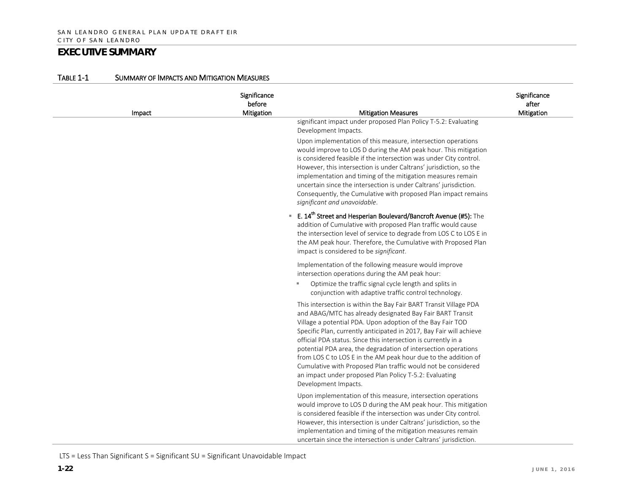| Impact | Significance<br>before<br>Mitigation | <b>Mitigation Measures</b>                                                                                                                                                                                                                                                                                                                                                                                                                                                                                                                                                                                                   | Significance<br>after<br>Mitigation |
|--------|--------------------------------------|------------------------------------------------------------------------------------------------------------------------------------------------------------------------------------------------------------------------------------------------------------------------------------------------------------------------------------------------------------------------------------------------------------------------------------------------------------------------------------------------------------------------------------------------------------------------------------------------------------------------------|-------------------------------------|
|        |                                      | significant impact under proposed Plan Policy T-5.2: Evaluating<br>Development Impacts.                                                                                                                                                                                                                                                                                                                                                                                                                                                                                                                                      |                                     |
|        |                                      | Upon implementation of this measure, intersection operations<br>would improve to LOS D during the AM peak hour. This mitigation<br>is considered feasible if the intersection was under City control.<br>However, this intersection is under Caltrans' jurisdiction, so the<br>implementation and timing of the mitigation measures remain<br>uncertain since the intersection is under Caltrans' jurisdiction.<br>Consequently, the Cumulative with proposed Plan impact remains<br>significant and unavoidable.                                                                                                            |                                     |
|        |                                      | <b>E. 14<sup>th</sup> Street and Hesperian Boulevard/Bancroft Avenue (#5):</b> The<br>addition of Cumulative with proposed Plan traffic would cause<br>the intersection level of service to degrade from LOS C to LOS E in<br>the AM peak hour. Therefore, the Cumulative with Proposed Plan<br>impact is considered to be significant.                                                                                                                                                                                                                                                                                      |                                     |
|        |                                      | Implementation of the following measure would improve<br>intersection operations during the AM peak hour:<br>Optimize the traffic signal cycle length and splits in<br>conjunction with adaptive traffic control technology.                                                                                                                                                                                                                                                                                                                                                                                                 |                                     |
|        |                                      | This intersection is within the Bay Fair BART Transit Village PDA<br>and ABAG/MTC has already designated Bay Fair BART Transit<br>Village a potential PDA. Upon adoption of the Bay Fair TOD<br>Specific Plan, currently anticipated in 2017, Bay Fair will achieve<br>official PDA status. Since this intersection is currently in a<br>potential PDA area, the degradation of intersection operations<br>from LOS C to LOS E in the AM peak hour due to the addition of<br>Cumulative with Proposed Plan traffic would not be considered<br>an impact under proposed Plan Policy T-5.2: Evaluating<br>Development Impacts. |                                     |
|        |                                      | Upon implementation of this measure, intersection operations<br>would improve to LOS D during the AM peak hour. This mitigation<br>is considered feasible if the intersection was under City control.<br>However, this intersection is under Caltrans' jurisdiction, so the<br>implementation and timing of the mitigation measures remain<br>uncertain since the intersection is under Caltrans' jurisdiction.                                                                                                                                                                                                              |                                     |

#### TABLE 1-1 SUMMARY OF IMPACTS AND MITIGATION MEASURES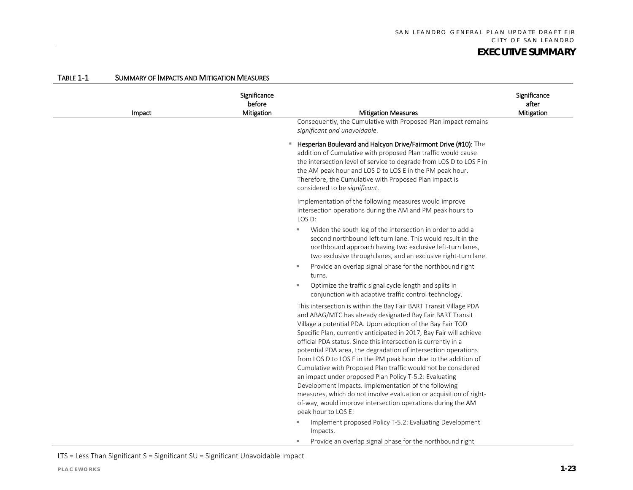| Impact | Significance<br>before<br>Mitigation | <b>Mitigation Measures</b>                                                                                                                                                                                                                                                                                                                                                                                                                                                                                                                                                                                                                                                                                                                                                                                                                                                                | Significance<br>after<br>Mitigation |
|--------|--------------------------------------|-------------------------------------------------------------------------------------------------------------------------------------------------------------------------------------------------------------------------------------------------------------------------------------------------------------------------------------------------------------------------------------------------------------------------------------------------------------------------------------------------------------------------------------------------------------------------------------------------------------------------------------------------------------------------------------------------------------------------------------------------------------------------------------------------------------------------------------------------------------------------------------------|-------------------------------------|
|        |                                      | Consequently, the Cumulative with Proposed Plan impact remains<br>significant and unavoidable.                                                                                                                                                                                                                                                                                                                                                                                                                                                                                                                                                                                                                                                                                                                                                                                            |                                     |
|        |                                      | <b>E</b> Hesperian Boulevard and Halcyon Drive/Fairmont Drive (#10): The<br>addition of Cumulative with proposed Plan traffic would cause<br>the intersection level of service to degrade from LOS D to LOS F in<br>the AM peak hour and LOS D to LOS E in the PM peak hour.<br>Therefore, the Cumulative with Proposed Plan impact is<br>considered to be significant.                                                                                                                                                                                                                                                                                                                                                                                                                                                                                                                   |                                     |
|        |                                      | Implementation of the following measures would improve<br>intersection operations during the AM and PM peak hours to<br>LOS D:                                                                                                                                                                                                                                                                                                                                                                                                                                                                                                                                                                                                                                                                                                                                                            |                                     |
|        |                                      | Widen the south leg of the intersection in order to add a<br>×,<br>second northbound left-turn lane. This would result in the<br>northbound approach having two exclusive left-turn lanes,<br>two exclusive through lanes, and an exclusive right-turn lane.                                                                                                                                                                                                                                                                                                                                                                                                                                                                                                                                                                                                                              |                                     |
|        |                                      | Provide an overlap signal phase for the northbound right<br>turns.                                                                                                                                                                                                                                                                                                                                                                                                                                                                                                                                                                                                                                                                                                                                                                                                                        |                                     |
|        |                                      | Optimize the traffic signal cycle length and splits in<br>conjunction with adaptive traffic control technology.                                                                                                                                                                                                                                                                                                                                                                                                                                                                                                                                                                                                                                                                                                                                                                           |                                     |
|        |                                      | This intersection is within the Bay Fair BART Transit Village PDA<br>and ABAG/MTC has already designated Bay Fair BART Transit<br>Village a potential PDA. Upon adoption of the Bay Fair TOD<br>Specific Plan, currently anticipated in 2017, Bay Fair will achieve<br>official PDA status. Since this intersection is currently in a<br>potential PDA area, the degradation of intersection operations<br>from LOS D to LOS E in the PM peak hour due to the addition of<br>Cumulative with Proposed Plan traffic would not be considered<br>an impact under proposed Plan Policy T-5.2: Evaluating<br>Development Impacts. Implementation of the following<br>measures, which do not involve evaluation or acquisition of right-<br>of-way, would improve intersection operations during the AM<br>peak hour to LOS E:<br>Implement proposed Policy T-5.2: Evaluating Development<br>×. |                                     |
|        |                                      | Impacts.<br>Provide an overlap signal phase for the northbound right<br>m.                                                                                                                                                                                                                                                                                                                                                                                                                                                                                                                                                                                                                                                                                                                                                                                                                |                                     |

#### TABLE 1-1 SUMMARY OF IMPACTS AND MITIGATION MEASURES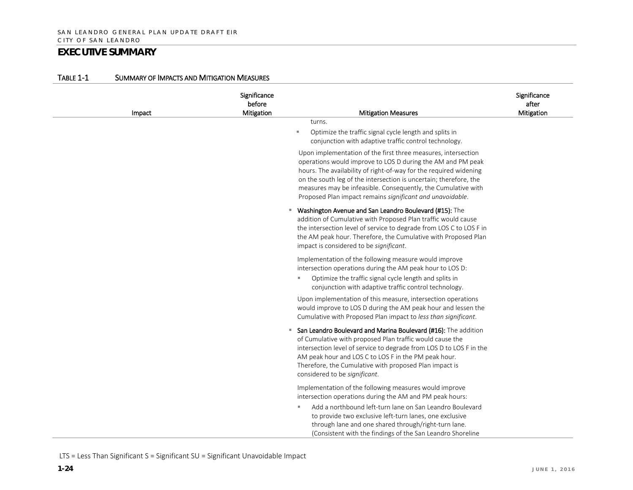| Impact | Significance<br>before<br>Mitigation | <b>Mitigation Measures</b>                                                                                                                                                                                                                                                                                                                                                                                                                                                                                                             | Significance<br>after<br>Mitigation |
|--------|--------------------------------------|----------------------------------------------------------------------------------------------------------------------------------------------------------------------------------------------------------------------------------------------------------------------------------------------------------------------------------------------------------------------------------------------------------------------------------------------------------------------------------------------------------------------------------------|-------------------------------------|
|        |                                      | turns.<br>Optimize the traffic signal cycle length and splits in<br>×<br>conjunction with adaptive traffic control technology.<br>Upon implementation of the first three measures, intersection<br>operations would improve to LOS D during the AM and PM peak<br>hours. The availability of right-of-way for the required widening<br>on the south leg of the intersection is uncertain; therefore, the<br>measures may be infeasible. Consequently, the Cumulative with<br>Proposed Plan impact remains significant and unavoidable. |                                     |
|        |                                      | Washington Avenue and San Leandro Boulevard (#15): The<br>٠<br>addition of Cumulative with Proposed Plan traffic would cause<br>the intersection level of service to degrade from LOS C to LOS F in<br>the AM peak hour. Therefore, the Cumulative with Proposed Plan<br>impact is considered to be significant.                                                                                                                                                                                                                       |                                     |
|        |                                      | Implementation of the following measure would improve<br>intersection operations during the AM peak hour to LOS D:<br>Optimize the traffic signal cycle length and splits in<br>٠<br>conjunction with adaptive traffic control technology.                                                                                                                                                                                                                                                                                             |                                     |
|        |                                      | Upon implementation of this measure, intersection operations<br>would improve to LOS D during the AM peak hour and lessen the<br>Cumulative with Proposed Plan impact to less than significant.                                                                                                                                                                                                                                                                                                                                        |                                     |
|        |                                      | San Leandro Boulevard and Marina Boulevard (#16): The addition<br>ш<br>of Cumulative with proposed Plan traffic would cause the<br>intersection level of service to degrade from LOS D to LOS F in the<br>AM peak hour and LOS C to LOS F in the PM peak hour.<br>Therefore, the Cumulative with proposed Plan impact is<br>considered to be significant.                                                                                                                                                                              |                                     |
|        |                                      | Implementation of the following measures would improve<br>intersection operations during the AM and PM peak hours:                                                                                                                                                                                                                                                                                                                                                                                                                     |                                     |
|        |                                      | Add a northbound left-turn lane on San Leandro Boulevard<br>٠<br>to provide two exclusive left-turn lanes, one exclusive<br>through lane and one shared through/right-turn lane.<br>(Consistent with the findings of the San Leandro Shoreline                                                                                                                                                                                                                                                                                         |                                     |

#### TABLE 1-1 SUMMARY OF IMPACTS AND MITIGATION MEASURES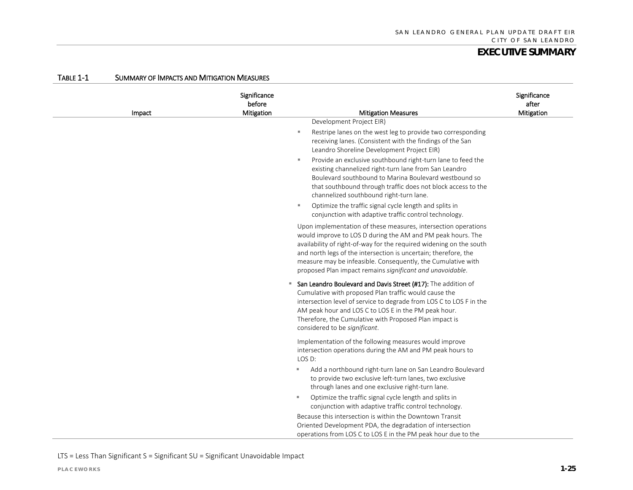| Impact | Significance<br>before<br>Mitigation | <b>Mitigation Measures</b>                                                                                                                                                                                                                                                                                                                                                                                                         | Significance<br>after<br>Mitigation |
|--------|--------------------------------------|------------------------------------------------------------------------------------------------------------------------------------------------------------------------------------------------------------------------------------------------------------------------------------------------------------------------------------------------------------------------------------------------------------------------------------|-------------------------------------|
|        |                                      | Development Project EIR)                                                                                                                                                                                                                                                                                                                                                                                                           |                                     |
|        |                                      | Restripe lanes on the west leg to provide two corresponding<br>٠<br>receiving lanes. (Consistent with the findings of the San<br>Leandro Shoreline Development Project EIR)                                                                                                                                                                                                                                                        |                                     |
|        |                                      | Provide an exclusive southbound right-turn lane to feed the<br>٠<br>existing channelized right-turn lane from San Leandro<br>Boulevard southbound to Marina Boulevard westbound so<br>that southbound through traffic does not block access to the<br>channelized southbound right-turn lane.<br>Optimize the traffic signal cycle length and splits in<br>$\mathbb{R}^n$<br>conjunction with adaptive traffic control technology. |                                     |
|        |                                      | Upon implementation of these measures, intersection operations<br>would improve to LOS D during the AM and PM peak hours. The<br>availability of right-of-way for the required widening on the south<br>and north legs of the intersection is uncertain; therefore, the<br>measure may be infeasible. Consequently, the Cumulative with<br>proposed Plan impact remains significant and unavoidable.                               |                                     |
|        |                                      | San Leandro Boulevard and Davis Street (#17): The addition of<br>٠<br>Cumulative with proposed Plan traffic would cause the<br>intersection level of service to degrade from LOS C to LOS F in the<br>AM peak hour and LOS C to LOS E in the PM peak hour.<br>Therefore, the Cumulative with Proposed Plan impact is<br>considered to be significant.                                                                              |                                     |
|        |                                      | Implementation of the following measures would improve<br>intersection operations during the AM and PM peak hours to<br>LOS D:                                                                                                                                                                                                                                                                                                     |                                     |
|        |                                      | Add a northbound right-turn lane on San Leandro Boulevard<br>٠<br>to provide two exclusive left-turn lanes, two exclusive<br>through lanes and one exclusive right-turn lane.                                                                                                                                                                                                                                                      |                                     |
|        |                                      | Optimize the traffic signal cycle length and splits in<br>conjunction with adaptive traffic control technology.                                                                                                                                                                                                                                                                                                                    |                                     |
|        |                                      | Because this intersection is within the Downtown Transit<br>Oriented Development PDA, the degradation of intersection<br>operations from LOS C to LOS E in the PM peak hour due to the                                                                                                                                                                                                                                             |                                     |

#### TABLE 1-1 SUMMARY OF IMPACTS AND MITIGATION MEASURES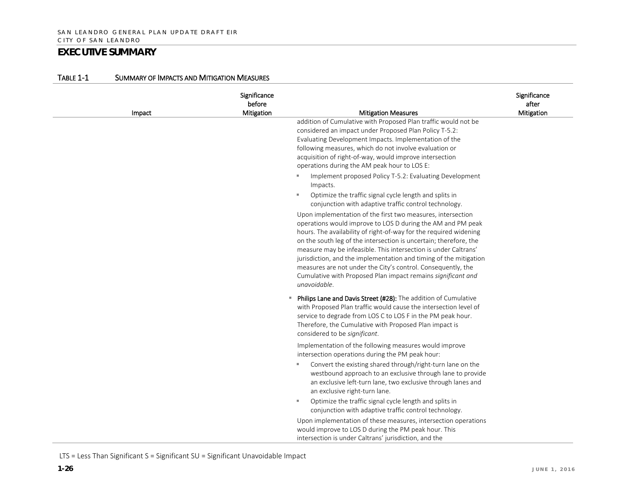| Impact | Significance<br>before<br>Mitigation | <b>Mitigation Measures</b>                                                                                                                                                                                                                                                                                                                                                                                                                                                                                                                                   | Significance<br>after<br>Mitigation |
|--------|--------------------------------------|--------------------------------------------------------------------------------------------------------------------------------------------------------------------------------------------------------------------------------------------------------------------------------------------------------------------------------------------------------------------------------------------------------------------------------------------------------------------------------------------------------------------------------------------------------------|-------------------------------------|
|        |                                      | addition of Cumulative with Proposed Plan traffic would not be<br>considered an impact under Proposed Plan Policy T-5.2:<br>Evaluating Development Impacts. Implementation of the<br>following measures, which do not involve evaluation or<br>acquisition of right-of-way, would improve intersection<br>operations during the AM peak hour to LOS E:                                                                                                                                                                                                       |                                     |
|        |                                      | Implement proposed Policy T-5.2: Evaluating Development<br>×.<br>Impacts.                                                                                                                                                                                                                                                                                                                                                                                                                                                                                    |                                     |
|        |                                      | Optimize the traffic signal cycle length and splits in<br>×.<br>conjunction with adaptive traffic control technology.                                                                                                                                                                                                                                                                                                                                                                                                                                        |                                     |
|        |                                      | Upon implementation of the first two measures, intersection<br>operations would improve to LOS D during the AM and PM peak<br>hours. The availability of right-of-way for the required widening<br>on the south leg of the intersection is uncertain; therefore, the<br>measure may be infeasible. This intersection is under Caltrans'<br>jurisdiction, and the implementation and timing of the mitigation<br>measures are not under the City's control. Consequently, the<br>Cumulative with Proposed Plan impact remains significant and<br>unavoidable. |                                     |
|        |                                      | Philips Lane and Davis Street (#28): The addition of Cumulative<br>٠<br>with Proposed Plan traffic would cause the intersection level of<br>service to degrade from LOS C to LOS F in the PM peak hour.<br>Therefore, the Cumulative with Proposed Plan impact is<br>considered to be significant.                                                                                                                                                                                                                                                           |                                     |
|        |                                      | Implementation of the following measures would improve<br>intersection operations during the PM peak hour:<br>Convert the existing shared through/right-turn lane on the<br>ш                                                                                                                                                                                                                                                                                                                                                                                |                                     |
|        |                                      | westbound approach to an exclusive through lane to provide<br>an exclusive left-turn lane, two exclusive through lanes and<br>an exclusive right-turn lane.                                                                                                                                                                                                                                                                                                                                                                                                  |                                     |
|        |                                      | Optimize the traffic signal cycle length and splits in<br>л.<br>conjunction with adaptive traffic control technology.                                                                                                                                                                                                                                                                                                                                                                                                                                        |                                     |
|        |                                      | Upon implementation of these measures, intersection operations<br>would improve to LOS D during the PM peak hour. This<br>intersection is under Caltrans' jurisdiction, and the                                                                                                                                                                                                                                                                                                                                                                              |                                     |

#### TABLE 1-1 SUMMARY OF IMPACTS AND MITIGATION MEASURES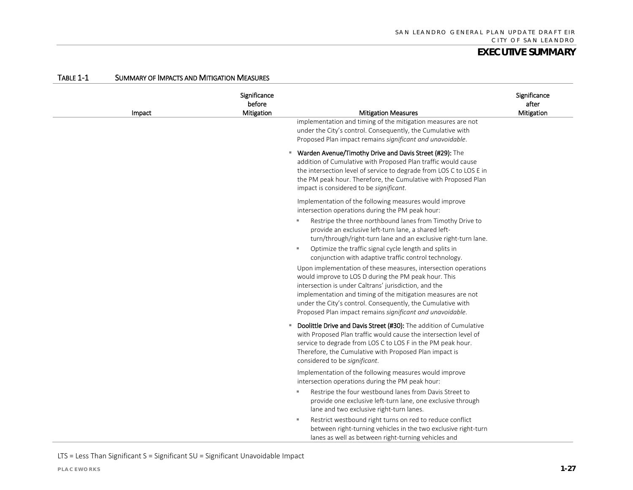| Impact | Significance<br>before<br>Mitigation | <b>Mitigation Measures</b><br>implementation and timing of the mitigation measures are not<br>under the City's control. Consequently, the Cumulative with                                                                                                                                                                                                                                                                                                                                                                                                                                                                                                                                                                                                                                                               | Significance<br>after<br>Mitigation |
|--------|--------------------------------------|-------------------------------------------------------------------------------------------------------------------------------------------------------------------------------------------------------------------------------------------------------------------------------------------------------------------------------------------------------------------------------------------------------------------------------------------------------------------------------------------------------------------------------------------------------------------------------------------------------------------------------------------------------------------------------------------------------------------------------------------------------------------------------------------------------------------------|-------------------------------------|
|        | ш.                                   | Proposed Plan impact remains significant and unavoidable.<br>Warden Avenue/Timothy Drive and Davis Street (#29): The<br>addition of Cumulative with Proposed Plan traffic would cause<br>the intersection level of service to degrade from LOS C to LOS E in<br>the PM peak hour. Therefore, the Cumulative with Proposed Plan<br>impact is considered to be significant.                                                                                                                                                                                                                                                                                                                                                                                                                                               |                                     |
|        |                                      | Implementation of the following measures would improve<br>intersection operations during the PM peak hour:<br>Restripe the three northbound lanes from Timothy Drive to<br>$\mathbf{u}$<br>provide an exclusive left-turn lane, a shared left-<br>turn/through/right-turn lane and an exclusive right-turn lane.<br>Optimize the traffic signal cycle length and splits in<br>л<br>conjunction with adaptive traffic control technology.<br>Upon implementation of these measures, intersection operations<br>would improve to LOS D during the PM peak hour. This<br>intersection is under Caltrans' jurisdiction, and the<br>implementation and timing of the mitigation measures are not<br>under the City's control. Consequently, the Cumulative with<br>Proposed Plan impact remains significant and unavoidable. |                                     |
|        |                                      | <b>Doolittle Drive and Davis Street (#30):</b> The addition of Cumulative<br>with Proposed Plan traffic would cause the intersection level of<br>service to degrade from LOS C to LOS F in the PM peak hour.<br>Therefore, the Cumulative with Proposed Plan impact is<br>considered to be significant.                                                                                                                                                                                                                                                                                                                                                                                                                                                                                                                 |                                     |
|        |                                      | Implementation of the following measures would improve<br>intersection operations during the PM peak hour:<br>Restripe the four westbound lanes from Davis Street to<br>$\mathbf{u}$<br>provide one exclusive left-turn lane, one exclusive through<br>lane and two exclusive right-turn lanes.                                                                                                                                                                                                                                                                                                                                                                                                                                                                                                                         |                                     |
|        |                                      | Restrict westbound right turns on red to reduce conflict<br>$\mathbf{u}$<br>between right-turning vehicles in the two exclusive right-turn<br>lanes as well as between right-turning vehicles and                                                                                                                                                                                                                                                                                                                                                                                                                                                                                                                                                                                                                       |                                     |

#### TABLE 1-1 SUMMARY OF IMPACTS AND MITIGATION MEASURES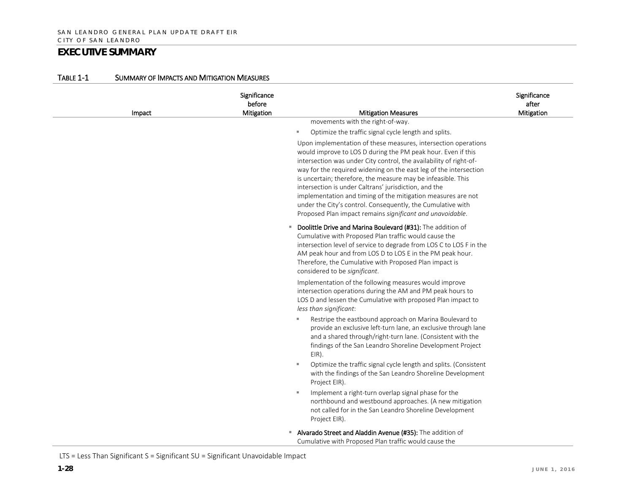| Impact | Significance<br>before<br>Mitigation | <b>Mitigation Measures</b>                                                                                                                                                                                                                                                                                                                                                                                                                                                                                                                                                                     | Significance<br>after<br>Mitigation |
|--------|--------------------------------------|------------------------------------------------------------------------------------------------------------------------------------------------------------------------------------------------------------------------------------------------------------------------------------------------------------------------------------------------------------------------------------------------------------------------------------------------------------------------------------------------------------------------------------------------------------------------------------------------|-------------------------------------|
|        |                                      | movements with the right-of-way.                                                                                                                                                                                                                                                                                                                                                                                                                                                                                                                                                               |                                     |
|        |                                      | Optimize the traffic signal cycle length and splits.<br>×,                                                                                                                                                                                                                                                                                                                                                                                                                                                                                                                                     |                                     |
|        |                                      | Upon implementation of these measures, intersection operations<br>would improve to LOS D during the PM peak hour. Even if this<br>intersection was under City control, the availability of right-of-<br>way for the required widening on the east leg of the intersection<br>is uncertain; therefore, the measure may be infeasible. This<br>intersection is under Caltrans' jurisdiction, and the<br>implementation and timing of the mitigation measures are not<br>under the City's control. Consequently, the Cumulative with<br>Proposed Plan impact remains significant and unavoidable. |                                     |
|        |                                      | Doolittle Drive and Marina Boulevard (#31): The addition of<br>Cumulative with Proposed Plan traffic would cause the<br>intersection level of service to degrade from LOS C to LOS F in the<br>AM peak hour and from LOS D to LOS E in the PM peak hour.<br>Therefore, the Cumulative with Proposed Plan impact is<br>considered to be significant.                                                                                                                                                                                                                                            |                                     |
|        |                                      | Implementation of the following measures would improve<br>intersection operations during the AM and PM peak hours to<br>LOS D and lessen the Cumulative with proposed Plan impact to<br>less than significant:                                                                                                                                                                                                                                                                                                                                                                                 |                                     |
|        |                                      | Restripe the eastbound approach on Marina Boulevard to<br>ш<br>provide an exclusive left-turn lane, an exclusive through lane<br>and a shared through/right-turn lane. (Consistent with the<br>findings of the San Leandro Shoreline Development Project<br>EIR).                                                                                                                                                                                                                                                                                                                              |                                     |
|        |                                      | Optimize the traffic signal cycle length and splits. (Consistent<br>ш<br>with the findings of the San Leandro Shoreline Development<br>Project EIR).                                                                                                                                                                                                                                                                                                                                                                                                                                           |                                     |
|        |                                      | Implement a right-turn overlap signal phase for the<br>$\mathbf{u}$<br>northbound and westbound approaches. (A new mitigation<br>not called for in the San Leandro Shoreline Development<br>Project EIR).                                                                                                                                                                                                                                                                                                                                                                                      |                                     |
|        |                                      | Alvarado Street and Aladdin Avenue (#35): The addition of<br>Cumulative with Proposed Plan traffic would cause the                                                                                                                                                                                                                                                                                                                                                                                                                                                                             |                                     |

#### TABLE 1-1 SUMMARY OF IMPACTS AND MITIGATION MEASURES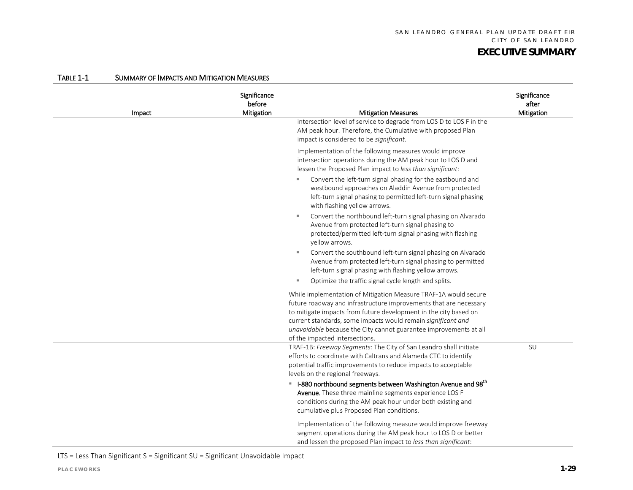| Impact | Significance<br>before<br>Mitigation | <b>Mitigation Measures</b><br>intersection level of service to degrade from LOS D to LOS F in the<br>AM peak hour. Therefore, the Cumulative with proposed Plan<br>impact is considered to be significant.                                                                                                                                                                                                                                       | Significance<br>after<br>Mitigation |
|--------|--------------------------------------|--------------------------------------------------------------------------------------------------------------------------------------------------------------------------------------------------------------------------------------------------------------------------------------------------------------------------------------------------------------------------------------------------------------------------------------------------|-------------------------------------|
|        |                                      | Implementation of the following measures would improve<br>intersection operations during the AM peak hour to LOS D and<br>lessen the Proposed Plan impact to less than significant:<br>Convert the left-turn signal phasing for the eastbound and<br>×.<br>westbound approaches on Aladdin Avenue from protected<br>left-turn signal phasing to permitted left-turn signal phasing                                                               |                                     |
|        |                                      | with flashing yellow arrows.<br>Convert the northbound left-turn signal phasing on Alvarado<br>×<br>Avenue from protected left-turn signal phasing to<br>protected/permitted left-turn signal phasing with flashing<br>yellow arrows.<br>Convert the southbound left-turn signal phasing on Alvarado<br>m.<br>Avenue from protected left-turn signal phasing to permitted<br>left-turn signal phasing with flashing yellow arrows.               |                                     |
|        |                                      | Optimize the traffic signal cycle length and splits.<br>×.<br>While implementation of Mitigation Measure TRAF-1A would secure<br>future roadway and infrastructure improvements that are necessary<br>to mitigate impacts from future development in the city based on<br>current standards, some impacts would remain significant and<br>unavoidable because the City cannot guarantee improvements at all<br>of the impacted intersections.    |                                     |
|        |                                      | TRAF-1B: Freeway Segments: The City of San Leandro shall initiate<br>efforts to coordinate with Caltrans and Alameda CTC to identify<br>potential traffic improvements to reduce impacts to acceptable<br>levels on the regional freeways.<br>■ I-880 northbound segments between Washington Avenue and 98 <sup>th</sup><br>Avenue. These three mainline segments experience LOS F<br>conditions during the AM peak hour under both existing and | SU                                  |
|        |                                      | cumulative plus Proposed Plan conditions.<br>Implementation of the following measure would improve freeway<br>segment operations during the AM peak hour to LOS D or better<br>and lessen the proposed Plan impact to less than significant:                                                                                                                                                                                                     |                                     |

#### TABLE 1-1 SUMMARY OF IMPACTS AND MITIGATION MEASURES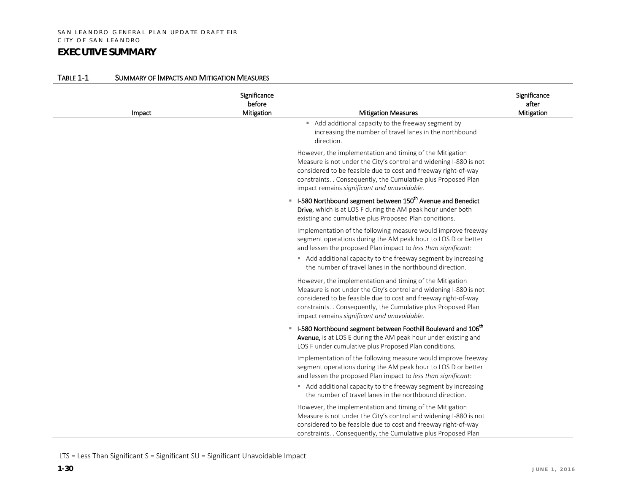| Impact | Significance<br>before<br>Mitigation | <b>Mitigation Measures</b>                                                                                                                                                                                                                                                                                                   | Significance<br>after<br>Mitigation |
|--------|--------------------------------------|------------------------------------------------------------------------------------------------------------------------------------------------------------------------------------------------------------------------------------------------------------------------------------------------------------------------------|-------------------------------------|
|        |                                      | Add additional capacity to the freeway segment by<br>increasing the number of travel lanes in the northbound<br>direction.                                                                                                                                                                                                   |                                     |
|        |                                      | However, the implementation and timing of the Mitigation<br>Measure is not under the City's control and widening I-880 is not<br>considered to be feasible due to cost and freeway right-of-way<br>constraints. . Consequently, the Cumulative plus Proposed Plan<br>impact remains significant and unavoidable.             |                                     |
|        |                                      | ■ I-580 Northbound segment between 150 <sup>th</sup> Avenue and Benedict<br>Drive, which is at LOS F during the AM peak hour under both<br>existing and cumulative plus Proposed Plan conditions.                                                                                                                            |                                     |
|        |                                      | Implementation of the following measure would improve freeway<br>segment operations during the AM peak hour to LOS D or better<br>and lessen the proposed Plan impact to less than significant:<br>Add additional capacity to the freeway segment by increasing<br>the number of travel lanes in the northbound direction.   |                                     |
|        |                                      | However, the implementation and timing of the Mitigation<br>Measure is not under the City's control and widening I-880 is not<br>considered to be feasible due to cost and freeway right-of-way<br>constraints. . Consequently, the Cumulative plus Proposed Plan<br>impact remains significant and unavoidable.             |                                     |
|        |                                      | ■ I-580 Northbound segment between Foothill Boulevard and 106 <sup>th</sup><br>Avenue, is at LOS E during the AM peak hour under existing and<br>LOS F under cumulative plus Proposed Plan conditions.                                                                                                                       |                                     |
|        |                                      | Implementation of the following measure would improve freeway<br>segment operations during the AM peak hour to LOS D or better<br>and lessen the proposed Plan impact to less than significant:<br>Add additional capacity to the freeway segment by increasing                                                              |                                     |
|        |                                      | the number of travel lanes in the northbound direction.<br>However, the implementation and timing of the Mitigation<br>Measure is not under the City's control and widening I-880 is not<br>considered to be feasible due to cost and freeway right-of-way<br>constraints. . Consequently, the Cumulative plus Proposed Plan |                                     |

#### TABLE 1-1 SUMMARY OF IMPACTS AND MITIGATION MEASURES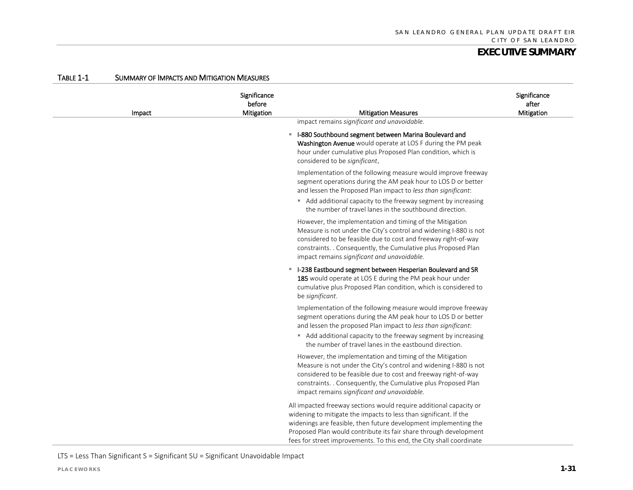| Impact | Significance<br>before<br>Mitigation | <b>Mitigation Measures</b>                                                                                                                                                                                                                                                                                                                               | Significance<br>after<br>Mitigation |
|--------|--------------------------------------|----------------------------------------------------------------------------------------------------------------------------------------------------------------------------------------------------------------------------------------------------------------------------------------------------------------------------------------------------------|-------------------------------------|
|        |                                      | impact remains significant and unavoidable.                                                                                                                                                                                                                                                                                                              |                                     |
|        |                                      | • I-880 Southbound segment between Marina Boulevard and<br>Washington Avenue would operate at LOS F during the PM peak<br>hour under cumulative plus Proposed Plan condition, which is<br>considered to be significant.                                                                                                                                  |                                     |
|        |                                      | Implementation of the following measure would improve freeway<br>segment operations during the AM peak hour to LOS D or better<br>and lessen the Proposed Plan impact to less than significant:<br>Add additional capacity to the freeway segment by increasing<br>the number of travel lanes in the southbound direction.                               |                                     |
|        |                                      | However, the implementation and timing of the Mitigation<br>Measure is not under the City's control and widening I-880 is not<br>considered to be feasible due to cost and freeway right-of-way<br>constraints. . Consequently, the Cumulative plus Proposed Plan<br>impact remains significant and unavoidable.                                         |                                     |
|        |                                      | ■ I-238 Eastbound segment between Hesperian Boulevard and SR<br>185 would operate at LOS E during the PM peak hour under<br>cumulative plus Proposed Plan condition, which is considered to<br>be significant.                                                                                                                                           |                                     |
|        |                                      | Implementation of the following measure would improve freeway<br>segment operations during the AM peak hour to LOS D or better<br>and lessen the proposed Plan impact to less than significant:                                                                                                                                                          |                                     |
|        |                                      | Add additional capacity to the freeway segment by increasing<br>the number of travel lanes in the eastbound direction.                                                                                                                                                                                                                                   |                                     |
|        |                                      | However, the implementation and timing of the Mitigation<br>Measure is not under the City's control and widening I-880 is not<br>considered to be feasible due to cost and freeway right-of-way<br>constraints. . Consequently, the Cumulative plus Proposed Plan<br>impact remains significant and unavoidable.                                         |                                     |
|        |                                      | All impacted freeway sections would require additional capacity or<br>widening to mitigate the impacts to less than significant. If the<br>widenings are feasible, then future development implementing the<br>Proposed Plan would contribute its fair share through development<br>fees for street improvements. To this end, the City shall coordinate |                                     |

#### TABLE 1-1 SUMMARY OF IMPACTS AND MITIGATION MEASURES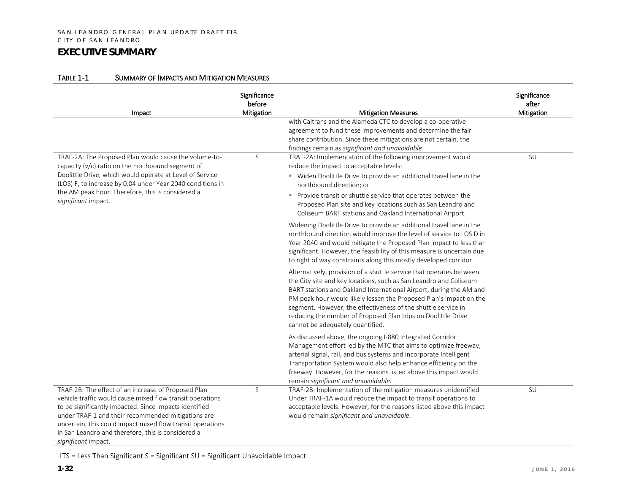| Impact                                                                                                                                                                                                                                                                                                                                                                      | Significance<br>before<br>Mitigation | <b>Mitigation Measures</b>                                                                                                                                                                                                                                                                                                                                                                                                                                 | Significance<br>after<br>Mitigation |
|-----------------------------------------------------------------------------------------------------------------------------------------------------------------------------------------------------------------------------------------------------------------------------------------------------------------------------------------------------------------------------|--------------------------------------|------------------------------------------------------------------------------------------------------------------------------------------------------------------------------------------------------------------------------------------------------------------------------------------------------------------------------------------------------------------------------------------------------------------------------------------------------------|-------------------------------------|
|                                                                                                                                                                                                                                                                                                                                                                             |                                      | with Caltrans and the Alameda CTC to develop a co-operative<br>agreement to fund these improvements and determine the fair<br>share contribution. Since these mitigations are not certain, the<br>findings remain as significant and unavoidable.                                                                                                                                                                                                          |                                     |
| TRAF-2A: The Proposed Plan would cause the volume-to-<br>capacity (v/c) ratio on the northbound segment of<br>Doolittle Drive, which would operate at Level of Service<br>(LOS) F, to increase by 0.04 under Year 2040 conditions in<br>the AM peak hour. Therefore, this is considered a<br>significant impact.                                                            | S                                    | TRAF-2A: Implementation of the following improvement would<br>reduce the impact to acceptable levels:<br>" Widen Doolittle Drive to provide an additional travel lane in the<br>northbound direction; or<br>Provide transit or shuttle service that operates between the<br>Proposed Plan site and key locations such as San Leandro and<br>Coliseum BART stations and Oakland International Airport.                                                      | SU                                  |
|                                                                                                                                                                                                                                                                                                                                                                             |                                      | Widening Doolittle Drive to provide an additional travel lane in the<br>northbound direction would improve the level of service to LOS D in<br>Year 2040 and would mitigate the Proposed Plan impact to less than<br>significant. However, the feasibility of this measure is uncertain due<br>to right of way constraints along this mostly developed corridor.                                                                                           |                                     |
|                                                                                                                                                                                                                                                                                                                                                                             |                                      | Alternatively, provision of a shuttle service that operates between<br>the City site and key locations, such as San Leandro and Coliseum<br>BART stations and Oakland International Airport, during the AM and<br>PM peak hour would likely lessen the Proposed Plan's impact on the<br>segment. However, the effectiveness of the shuttle service in<br>reducing the number of Proposed Plan trips on Doolittle Drive<br>cannot be adequately quantified. |                                     |
|                                                                                                                                                                                                                                                                                                                                                                             |                                      | As discussed above, the ongoing I-880 Integrated Corridor<br>Management effort led by the MTC that aims to optimize freeway,<br>arterial signal, rail, and bus systems and incorporate Intelligent<br>Transportation System would also help enhance efficiency on the<br>freeway. However, for the reasons listed above this impact would<br>remain significant and unavoidable.                                                                           |                                     |
| TRAF-2B: The effect of an increase of Proposed Plan<br>vehicle traffic would cause mixed flow transit operations<br>to be significantly impacted. Since impacts identified<br>under TRAF-1 and their recommended mitigations are<br>uncertain, this could impact mixed flow transit operations<br>in San Leandro and therefore, this is considered a<br>significant impact. | S                                    | TRAF-2B: Implementation of the mitigation measures unidentified<br>Under TRAF-1A would reduce the impact to transit operations to<br>acceptable levels. However, for the reasons listed above this impact<br>would remain significant and unavoidable.                                                                                                                                                                                                     | SU                                  |

#### TABLE 1-1 SUMMARY OF IMPACTS AND MITIGATION MEASURES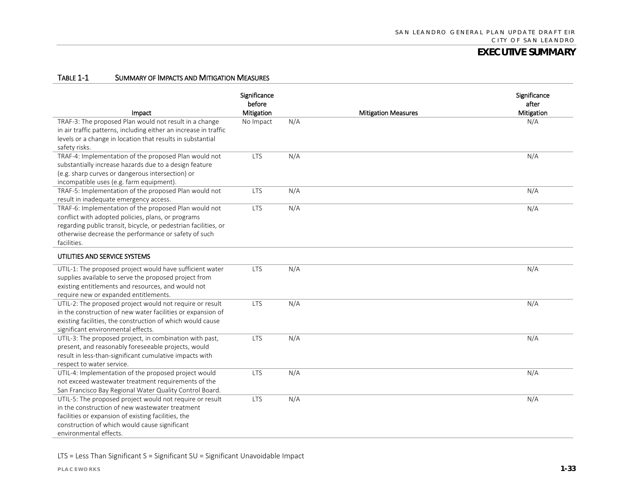#### TABLE 1-1 SUMMARY OF IMPACTS AND MITIGATION MEASURES

| Impact                                                                                                                                                                                                                                                | Significance<br>before<br><b>Mitigation</b> |     | <b>Mitigation Measures</b> | Significance<br>after<br>Mitigation |
|-------------------------------------------------------------------------------------------------------------------------------------------------------------------------------------------------------------------------------------------------------|---------------------------------------------|-----|----------------------------|-------------------------------------|
| TRAF-3: The proposed Plan would not result in a change<br>in air traffic patterns, including either an increase in traffic<br>levels or a change in location that results in substantial<br>safety risks.                                             | No Impact                                   | N/A |                            | N/A                                 |
| TRAF-4: Implementation of the proposed Plan would not<br>substantially increase hazards due to a design feature<br>(e.g. sharp curves or dangerous intersection) or<br>incompatible uses (e.g. farm equipment).                                       | <b>LTS</b>                                  | N/A |                            | N/A                                 |
| TRAF-5: Implementation of the proposed Plan would not<br>result in inadequate emergency access.                                                                                                                                                       | <b>LTS</b>                                  | N/A |                            | N/A                                 |
| TRAF-6: Implementation of the proposed Plan would not<br>conflict with adopted policies, plans, or programs<br>regarding public transit, bicycle, or pedestrian facilities, or<br>otherwise decrease the performance or safety of such<br>facilities. | <b>LTS</b>                                  | N/A |                            | N/A                                 |
| UTILITIES AND SERVICE SYSTEMS                                                                                                                                                                                                                         |                                             |     |                            |                                     |
| UTIL-1: The proposed project would have sufficient water<br>supplies available to serve the proposed project from<br>existing entitlements and resources, and would not<br>require new or expanded entitlements.                                      | <b>LTS</b>                                  | N/A |                            | N/A                                 |
| UTIL-2: The proposed project would not require or result<br>in the construction of new water facilities or expansion of<br>existing facilities, the construction of which would cause<br>significant environmental effects.                           | <b>LTS</b>                                  | N/A |                            | N/A                                 |
| UTIL-3: The proposed project, in combination with past,<br>present, and reasonably foreseeable projects, would<br>result in less-than-significant cumulative impacts with<br>respect to water service.                                                | <b>LTS</b>                                  | N/A |                            | N/A                                 |
| UTIL-4: Implementation of the proposed project would<br>not exceed wastewater treatment requirements of the<br>San Francisco Bay Regional Water Quality Control Board.                                                                                | <b>LTS</b>                                  | N/A |                            | N/A                                 |
| UTIL-5: The proposed project would not require or result<br>in the construction of new wastewater treatment<br>facilities or expansion of existing facilities, the<br>construction of which would cause significant<br>environmental effects.         | <b>LTS</b>                                  | N/A |                            | N/A                                 |